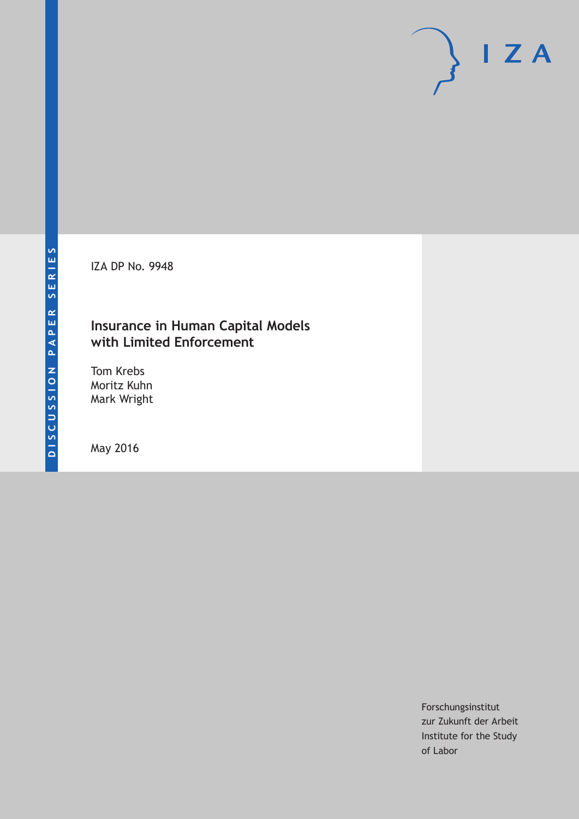IZA DP No. 9948

# **Insurance in Human Capital Models with Limited Enforcement**

Tom Krebs Moritz Kuhn Mark Wright

May 2016

Forschungsinstitut zur Zukunft der Arbeit Institute for the Study of Labor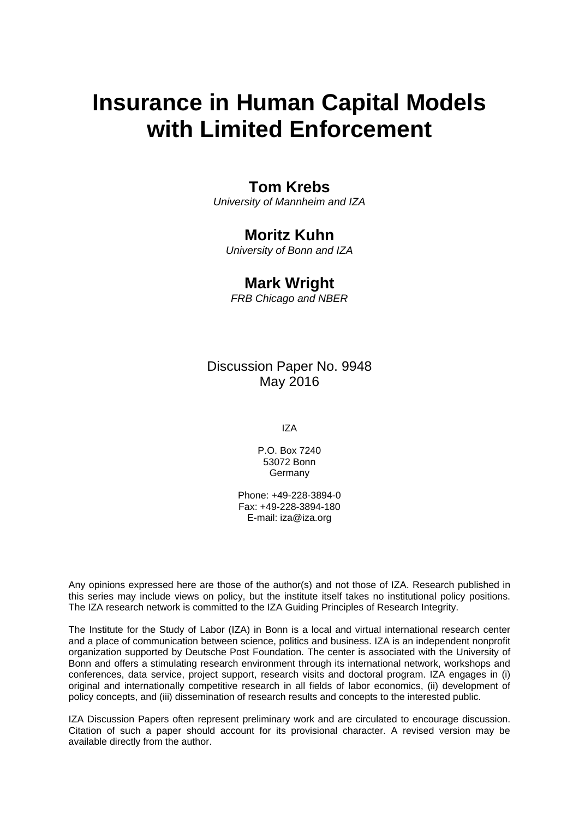# **Insurance in Human Capital Models with Limited Enforcement**

### **Tom Krebs**

*University of Mannheim and IZA* 

# **Moritz Kuhn**

*University of Bonn and IZA* 

### **Mark Wright**

*FRB Chicago and NBER*

Discussion Paper No. 9948 May 2016

IZA

P.O. Box 7240 53072 Bonn **Germany** 

Phone: +49-228-3894-0 Fax: +49-228-3894-180 E-mail: iza@iza.org

Any opinions expressed here are those of the author(s) and not those of IZA. Research published in this series may include views on policy, but the institute itself takes no institutional policy positions. The IZA research network is committed to the IZA Guiding Principles of Research Integrity.

The Institute for the Study of Labor (IZA) in Bonn is a local and virtual international research center and a place of communication between science, politics and business. IZA is an independent nonprofit organization supported by Deutsche Post Foundation. The center is associated with the University of Bonn and offers a stimulating research environment through its international network, workshops and conferences, data service, project support, research visits and doctoral program. IZA engages in (i) original and internationally competitive research in all fields of labor economics, (ii) development of policy concepts, and (iii) dissemination of research results and concepts to the interested public.

IZA Discussion Papers often represent preliminary work and are circulated to encourage discussion. Citation of such a paper should account for its provisional character. A revised version may be available directly from the author.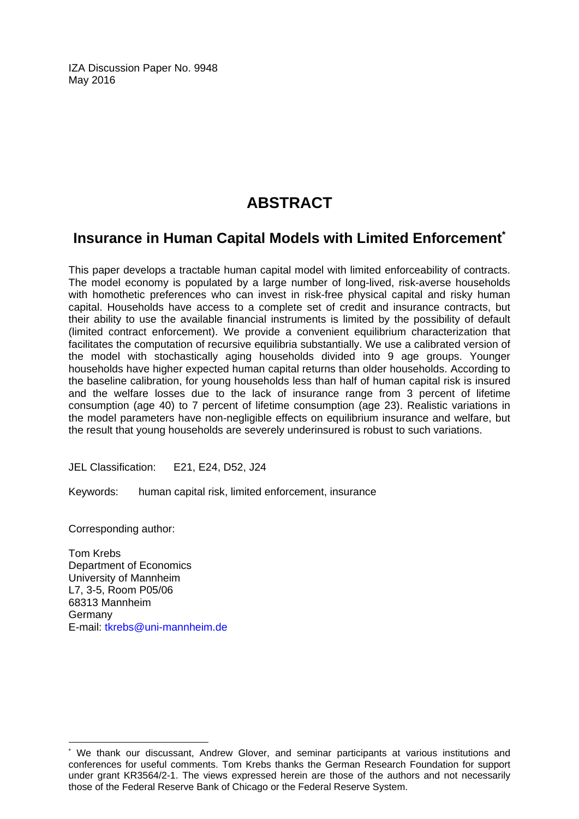IZA Discussion Paper No. 9948 May 2016

# **ABSTRACT**

# **Insurance in Human Capital Models with Limited Enforcement\***

This paper develops a tractable human capital model with limited enforceability of contracts. The model economy is populated by a large number of long-lived, risk-averse households with homothetic preferences who can invest in risk-free physical capital and risky human capital. Households have access to a complete set of credit and insurance contracts, but their ability to use the available financial instruments is limited by the possibility of default (limited contract enforcement). We provide a convenient equilibrium characterization that facilitates the computation of recursive equilibria substantially. We use a calibrated version of the model with stochastically aging households divided into 9 age groups. Younger households have higher expected human capital returns than older households. According to the baseline calibration, for young households less than half of human capital risk is insured and the welfare losses due to the lack of insurance range from 3 percent of lifetime consumption (age 40) to 7 percent of lifetime consumption (age 23). Realistic variations in the model parameters have non-negligible effects on equilibrium insurance and welfare, but the result that young households are severely underinsured is robust to such variations.

JEL Classification: E21, E24, D52, J24

Keywords: human capital risk, limited enforcement, insurance

Corresponding author:

 $\overline{\phantom{a}}$ 

Tom Krebs Department of Economics University of Mannheim L7, 3-5, Room P05/06 68313 Mannheim Germany E-mail: tkrebs@uni-mannheim.de

<sup>\*</sup> We thank our discussant, Andrew Glover, and seminar participants at various institutions and conferences for useful comments. Tom Krebs thanks the German Research Foundation for support under grant KR3564/2-1. The views expressed herein are those of the authors and not necessarily those of the Federal Reserve Bank of Chicago or the Federal Reserve System.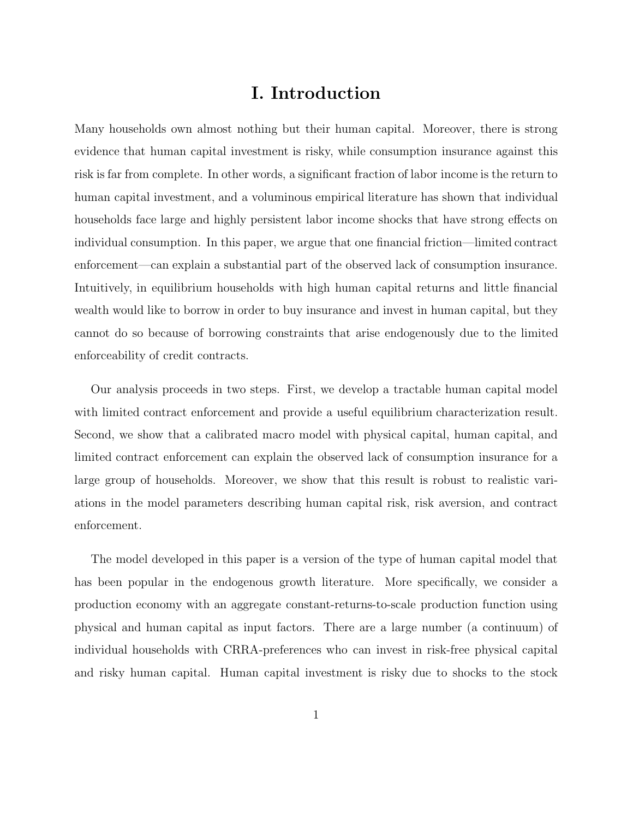# **I. Introduction**

Many households own almost nothing but their human capital. Moreover, there is strong evidence that human capital investment is risky, while consumption insurance against this risk is far from complete. In other words, a significant fraction of labor income is the return to human capital investment, and a voluminous empirical literature has shown that individual households face large and highly persistent labor income shocks that have strong effects on individual consumption. In this paper, we argue that one financial friction—limited contract enforcement—can explain a substantial part of the observed lack of consumption insurance. Intuitively, in equilibrium households with high human capital returns and little financial wealth would like to borrow in order to buy insurance and invest in human capital, but they cannot do so because of borrowing constraints that arise endogenously due to the limited enforceability of credit contracts.

Our analysis proceeds in two steps. First, we develop a tractable human capital model with limited contract enforcement and provide a useful equilibrium characterization result. Second, we show that a calibrated macro model with physical capital, human capital, and limited contract enforcement can explain the observed lack of consumption insurance for a large group of households. Moreover, we show that this result is robust to realistic variations in the model parameters describing human capital risk, risk aversion, and contract enforcement.

The model developed in this paper is a version of the type of human capital model that has been popular in the endogenous growth literature. More specifically, we consider a production economy with an aggregate constant-returns-to-scale production function using physical and human capital as input factors. There are a large number (a continuum) of individual households with CRRA-preferences who can invest in risk-free physical capital and risky human capital. Human capital investment is risky due to shocks to the stock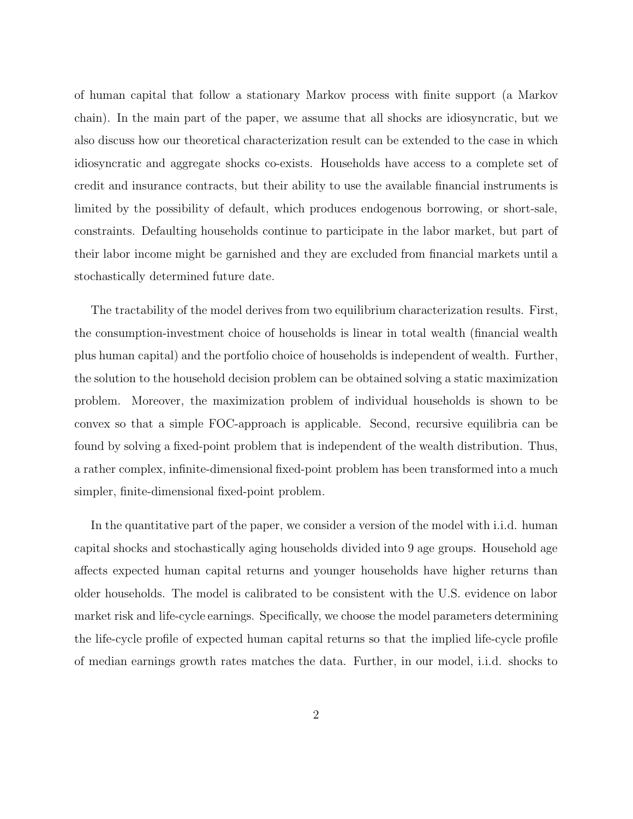of human capital that follow a stationary Markov process with finite support (a Markov chain). In the main part of the paper, we assume that all shocks are idiosyncratic, but we also discuss how our theoretical characterization result can be extended to the case in which idiosyncratic and aggregate shocks co-exists. Households have access to a complete set of credit and insurance contracts, but their ability to use the available financial instruments is limited by the possibility of default, which produces endogenous borrowing, or short-sale, constraints. Defaulting households continue to participate in the labor market, but part of their labor income might be garnished and they are excluded from financial markets until a stochastically determined future date.

The tractability of the model derives from two equilibrium characterization results. First, the consumption-investment choice of households is linear in total wealth (financial wealth plus human capital) and the portfolio choice of households is independent of wealth. Further, the solution to the household decision problem can be obtained solving a static maximization problem. Moreover, the maximization problem of individual households is shown to be convex so that a simple FOC-approach is applicable. Second, recursive equilibria can be found by solving a fixed-point problem that is independent of the wealth distribution. Thus, a rather complex, infinite-dimensional fixed-point problem has been transformed into a much simpler, finite-dimensional fixed-point problem.

In the quantitative part of the paper, we consider a version of the model with i.i.d. human capital shocks and stochastically aging households divided into 9 age groups. Household age affects expected human capital returns and younger households have higher returns than older households. The model is calibrated to be consistent with the U.S. evidence on labor market risk and life-cycle earnings. Specifically, we choose the model parameters determining the life-cycle profile of expected human capital returns so that the implied life-cycle profile of median earnings growth rates matches the data. Further, in our model, i.i.d. shocks to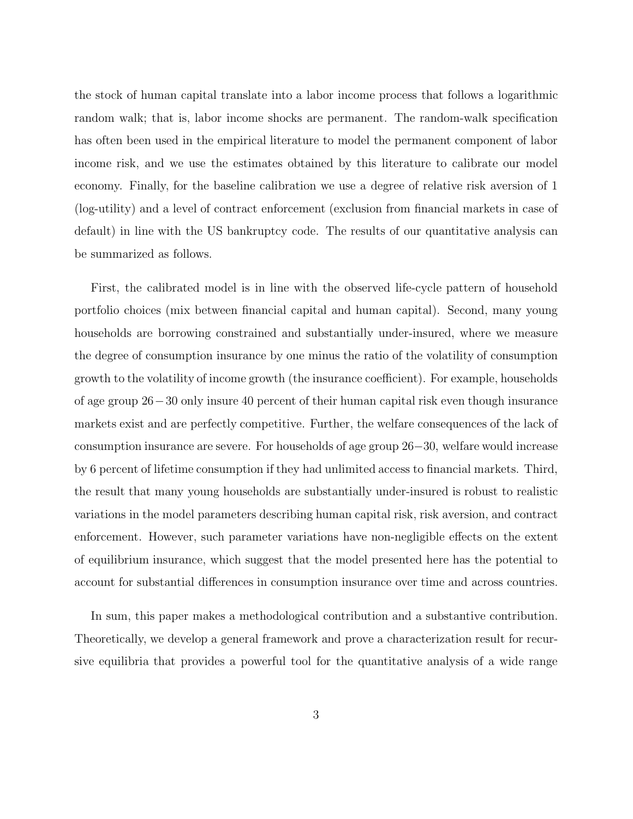the stock of human capital translate into a labor income process that follows a logarithmic random walk; that is, labor income shocks are permanent. The random-walk specification has often been used in the empirical literature to model the permanent component of labor income risk, and we use the estimates obtained by this literature to calibrate our model economy. Finally, for the baseline calibration we use a degree of relative risk aversion of 1 (log-utility) and a level of contract enforcement (exclusion from financial markets in case of default) in line with the US bankruptcy code. The results of our quantitative analysis can be summarized as follows.

First, the calibrated model is in line with the observed life-cycle pattern of household portfolio choices (mix between financial capital and human capital). Second, many young households are borrowing constrained and substantially under-insured, where we measure the degree of consumption insurance by one minus the ratio of the volatility of consumption growth to the volatility of income growth (the insurance coefficient). For example, households of age group 26−30 only insure 40 percent of their human capital risk even though insurance markets exist and are perfectly competitive. Further, the welfare consequences of the lack of consumption insurance are severe. For households of age group 26−30, welfare would increase by 6 percent of lifetime consumption if they had unlimited access to financial markets. Third, the result that many young households are substantially under-insured is robust to realistic variations in the model parameters describing human capital risk, risk aversion, and contract enforcement. However, such parameter variations have non-negligible effects on the extent of equilibrium insurance, which suggest that the model presented here has the potential to account for substantial differences in consumption insurance over time and across countries.

In sum, this paper makes a methodological contribution and a substantive contribution. Theoretically, we develop a general framework and prove a characterization result for recursive equilibria that provides a powerful tool for the quantitative analysis of a wide range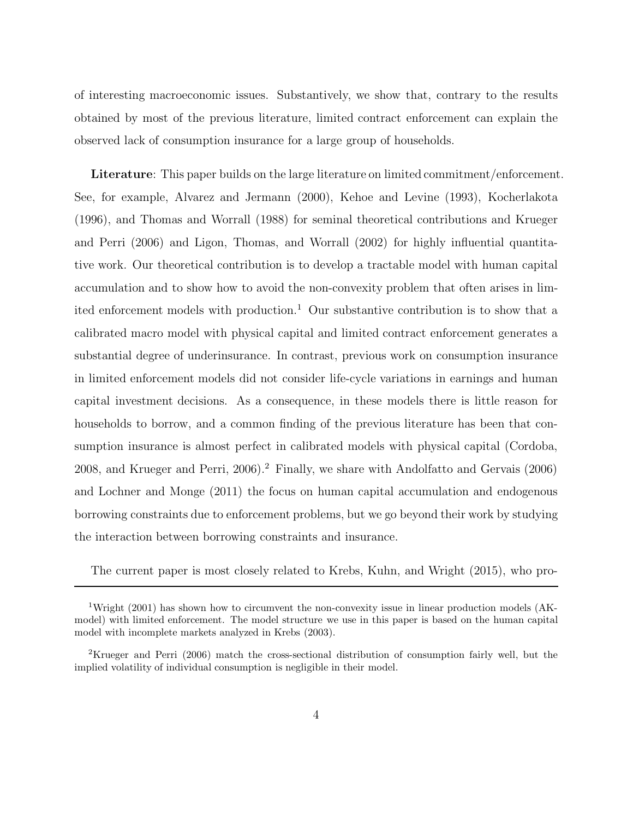of interesting macroeconomic issues. Substantively, we show that, contrary to the results obtained by most of the previous literature, limited contract enforcement can explain the observed lack of consumption insurance for a large group of households.

**Literature**: This paper builds on the large literature on limited commitment/enforcement. See, for example, Alvarez and Jermann (2000), Kehoe and Levine (1993), Kocherlakota (1996), and Thomas and Worrall (1988) for seminal theoretical contributions and Krueger and Perri (2006) and Ligon, Thomas, and Worrall (2002) for highly influential quantitative work. Our theoretical contribution is to develop a tractable model with human capital accumulation and to show how to avoid the non-convexity problem that often arises in limited enforcement models with production.<sup>1</sup> Our substantive contribution is to show that a calibrated macro model with physical capital and limited contract enforcement generates a substantial degree of underinsurance. In contrast, previous work on consumption insurance in limited enforcement models did not consider life-cycle variations in earnings and human capital investment decisions. As a consequence, in these models there is little reason for households to borrow, and a common finding of the previous literature has been that consumption insurance is almost perfect in calibrated models with physical capital (Cordoba, 2008, and Krueger and Perri, 2006).<sup>2</sup> Finally, we share with Andolfatto and Gervais (2006) and Lochner and Monge (2011) the focus on human capital accumulation and endogenous borrowing constraints due to enforcement problems, but we go beyond their work by studying the interaction between borrowing constraints and insurance.

The current paper is most closely related to Krebs, Kuhn, and Wright (2015), who pro-

<sup>&</sup>lt;sup>1</sup>Wright (2001) has shown how to circumvent the non-convexity issue in linear production models (AKmodel) with limited enforcement. The model structure we use in this paper is based on the human capital model with incomplete markets analyzed in Krebs (2003).

<sup>2</sup>Krueger and Perri (2006) match the cross-sectional distribution of consumption fairly well, but the implied volatility of individual consumption is negligible in their model.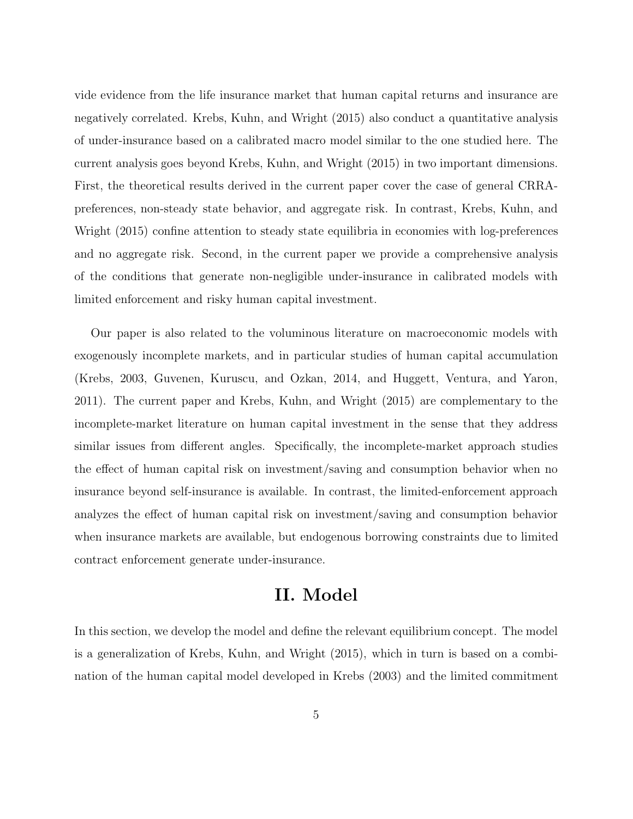vide evidence from the life insurance market that human capital returns and insurance are negatively correlated. Krebs, Kuhn, and Wright (2015) also conduct a quantitative analysis of under-insurance based on a calibrated macro model similar to the one studied here. The current analysis goes beyond Krebs, Kuhn, and Wright (2015) in two important dimensions. First, the theoretical results derived in the current paper cover the case of general CRRApreferences, non-steady state behavior, and aggregate risk. In contrast, Krebs, Kuhn, and Wright (2015) confine attention to steady state equilibria in economies with log-preferences and no aggregate risk. Second, in the current paper we provide a comprehensive analysis of the conditions that generate non-negligible under-insurance in calibrated models with limited enforcement and risky human capital investment.

Our paper is also related to the voluminous literature on macroeconomic models with exogenously incomplete markets, and in particular studies of human capital accumulation (Krebs, 2003, Guvenen, Kuruscu, and Ozkan, 2014, and Huggett, Ventura, and Yaron, 2011). The current paper and Krebs, Kuhn, and Wright (2015) are complementary to the incomplete-market literature on human capital investment in the sense that they address similar issues from different angles. Specifically, the incomplete-market approach studies the effect of human capital risk on investment/saving and consumption behavior when no insurance beyond self-insurance is available. In contrast, the limited-enforcement approach analyzes the effect of human capital risk on investment/saving and consumption behavior when insurance markets are available, but endogenous borrowing constraints due to limited contract enforcement generate under-insurance.

# **II. Model**

In this section, we develop the model and define the relevant equilibrium concept. The model is a generalization of Krebs, Kuhn, and Wright (2015), which in turn is based on a combination of the human capital model developed in Krebs (2003) and the limited commitment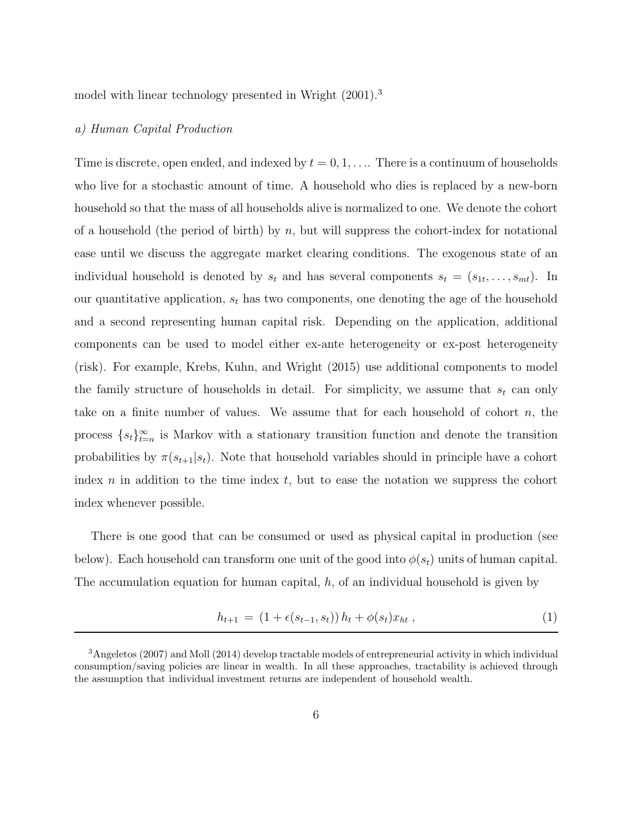model with linear technology presented in Wright  $(2001)^3$ 

#### *a) Human Capital Production*

Time is discrete, open ended, and indexed by  $t = 0, 1, \ldots$  There is a continuum of households who live for a stochastic amount of time. A household who dies is replaced by a new-born household so that the mass of all households alive is normalized to one. We denote the cohort of a household (the period of birth) by *n*, but will suppress the cohort-index for notational ease until we discuss the aggregate market clearing conditions. The exogenous state of an individual household is denoted by  $s_t$  and has several components  $s_t = (s_{1t}, \ldots, s_{mt})$ . In our quantitative application,  $s_t$  has two components, one denoting the age of the household and a second representing human capital risk. Depending on the application, additional components can be used to model either ex-ante heterogeneity or ex-post heterogeneity (risk). For example, Krebs, Kuhn, and Wright (2015) use additional components to model the family structure of households in detail. For simplicity, we assume that  $s_t$  can only take on a finite number of values. We assume that for each household of cohort *n*, the process  $\{s_t\}_{t=n}^{\infty}$  is Markov with a stationary transition function and denote the transition probabilities by  $\pi(s_{t+1}|s_t)$ . Note that household variables should in principle have a cohort index *n* in addition to the time index *t*, but to ease the notation we suppress the cohort index whenever possible.

There is one good that can be consumed or used as physical capital in production (see below). Each household can transform one unit of the good into  $\phi(s_t)$  units of human capital. The accumulation equation for human capital, *h*, of an individual household is given by

$$
h_{t+1} = (1 + \epsilon(s_{t-1}, s_t)) h_t + \phi(s_t) x_{ht}, \qquad (1)
$$

<sup>3</sup>Angeletos (2007) and Moll (2014) develop tractable models of entrepreneurial activity in which individual consumption/saving policies are linear in wealth. In all these approaches, tractability is achieved through the assumption that individual investment returns are independent of household wealth.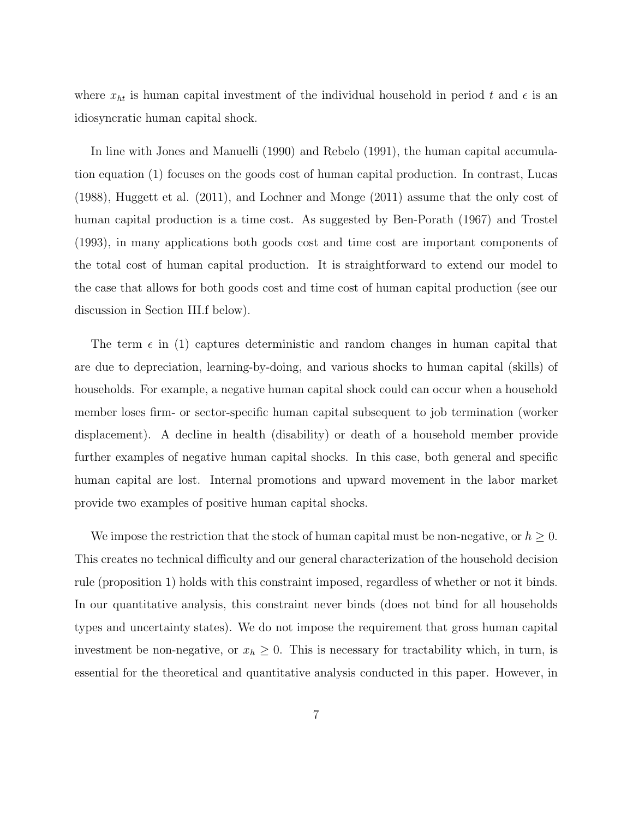where  $x_{ht}$  is human capital investment of the individual household in period t and  $\epsilon$  is an idiosyncratic human capital shock.

In line with Jones and Manuelli (1990) and Rebelo (1991), the human capital accumulation equation (1) focuses on the goods cost of human capital production. In contrast, Lucas (1988), Huggett et al. (2011), and Lochner and Monge (2011) assume that the only cost of human capital production is a time cost. As suggested by Ben-Porath (1967) and Trostel (1993), in many applications both goods cost and time cost are important components of the total cost of human capital production. It is straightforward to extend our model to the case that allows for both goods cost and time cost of human capital production (see our discussion in Section III.f below).

The term  $\epsilon$  in (1) captures deterministic and random changes in human capital that are due to depreciation, learning-by-doing, and various shocks to human capital (skills) of households. For example, a negative human capital shock could can occur when a household member loses firm- or sector-specific human capital subsequent to job termination (worker displacement). A decline in health (disability) or death of a household member provide further examples of negative human capital shocks. In this case, both general and specific human capital are lost. Internal promotions and upward movement in the labor market provide two examples of positive human capital shocks.

We impose the restriction that the stock of human capital must be non-negative, or  $h \geq 0$ . This creates no technical difficulty and our general characterization of the household decision rule (proposition 1) holds with this constraint imposed, regardless of whether or not it binds. In our quantitative analysis, this constraint never binds (does not bind for all households types and uncertainty states). We do not impose the requirement that gross human capital investment be non-negative, or  $x_h \geq 0$ . This is necessary for tractability which, in turn, is essential for the theoretical and quantitative analysis conducted in this paper. However, in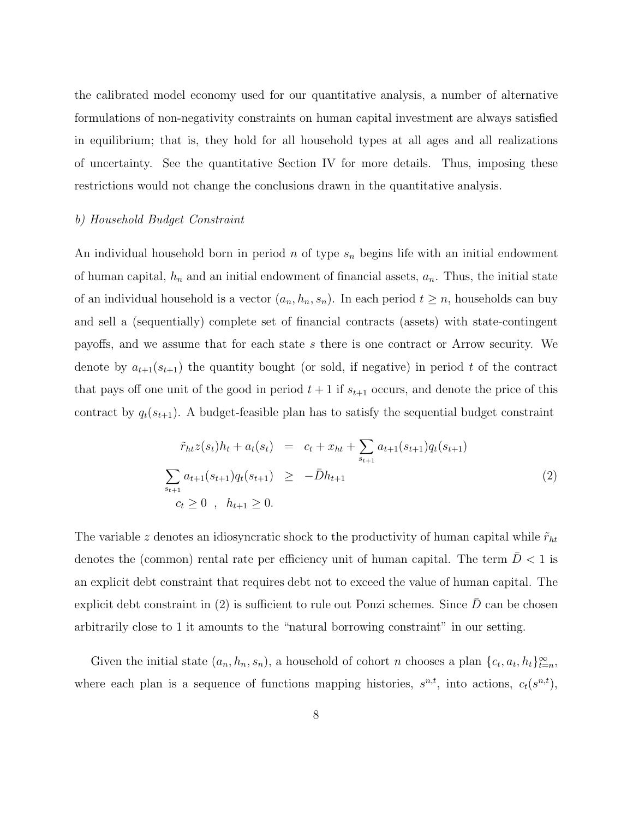the calibrated model economy used for our quantitative analysis, a number of alternative formulations of non-negativity constraints on human capital investment are always satisfied in equilibrium; that is, they hold for all household types at all ages and all realizations of uncertainty. See the quantitative Section IV for more details. Thus, imposing these restrictions would not change the conclusions drawn in the quantitative analysis.

#### *b) Household Budget Constraint*

An individual household born in period *n* of type  $s_n$  begins life with an initial endowment of human capital,  $h_n$  and an initial endowment of financial assets,  $a_n$ . Thus, the initial state of an individual household is a vector  $(a_n, h_n, s_n)$ . In each period  $t \geq n$ , households can buy and sell a (sequentially) complete set of financial contracts (assets) with state-contingent payoffs, and we assume that for each state *s* there is one contract or Arrow security. We denote by  $a_{t+1}(s_{t+1})$  the quantity bought (or sold, if negative) in period t of the contract that pays of one unit of the good in period  $t + 1$  if  $s_{t+1}$  occurs, and denote the price of this contract by  $q_t(s_{t+1})$ . A budget-feasible plan has to satisfy the sequential budget constraint

$$
\tilde{r}_{ht}z(s_t)h_t + a_t(s_t) = c_t + x_{ht} + \sum_{s_{t+1}} a_{t+1}(s_{t+1})q_t(s_{t+1})
$$
\n
$$
\sum_{s_{t+1}} a_{t+1}(s_{t+1})q_t(s_{t+1}) \geq -\bar{D}h_{t+1}
$$
\n
$$
c_t \geq 0, \quad h_{t+1} \geq 0.
$$
\n(2)

The variable *z* denotes an idiosyncratic shock to the productivity of human capital while  $\tilde{r}_{ht}$ denotes the (common) rental rate per efficiency unit of human capital. The term  $D < 1$  is an explicit debt constraint that requires debt not to exceed the value of human capital. The explicit debt constraint in  $(2)$  is sufficient to rule out Ponzi schemes. Since  $\bar{D}$  can be chosen arbitrarily close to 1 it amounts to the "natural borrowing constraint" in our setting.

Given the initial state  $(a_n, h_n, s_n)$ , a household of cohort *n* chooses a plan  $\{c_t, a_t, h_t\}_{t=n}^{\infty}$ , where each plan is a sequence of functions mapping histories,  $s^{n,t}$ , into actions,  $c_t(s^{n,t})$ ,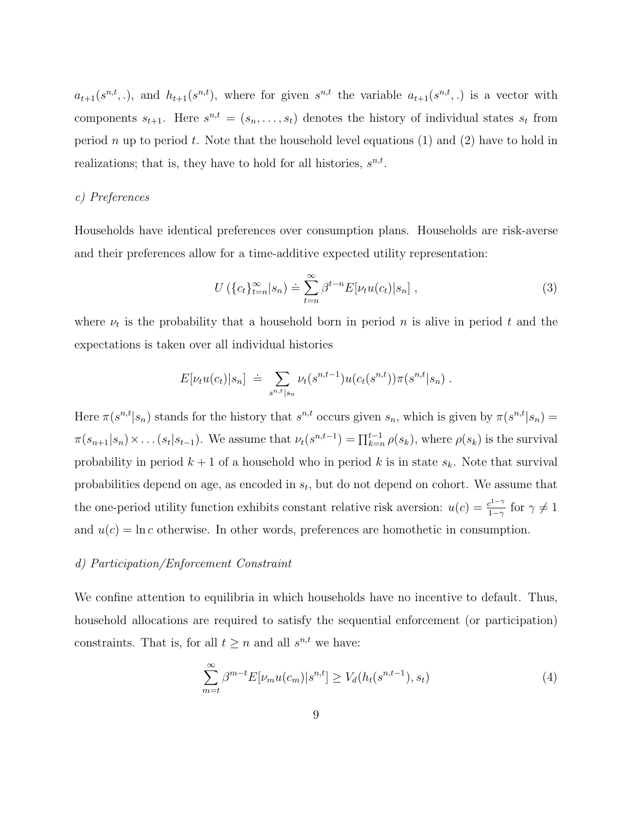$a_{t+1}(s^{n,t},.)$ , and  $h_{t+1}(s^{n,t})$ , where for given  $s^{n,t}$  the variable  $a_{t+1}(s^{n,t},.)$  is a vector with components  $s_{t+1}$ . Here  $s^{n,t} = (s_n, \ldots, s_t)$  denotes the history of individual states  $s_t$  from period *n* up to period *t*. Note that the household level equations (1) and (2) have to hold in realizations; that is, they have to hold for all histories,  $s^{n,t}$ .

#### *c) Preferences*

Households have identical preferences over consumption plans. Households are risk-averse and their preferences allow for a time-additive expected utility representation:

$$
U\left(\{c_t\}_{t=n}^{\infty}|s_n\right) \doteq \sum_{t=n}^{\infty} \beta^{t-n} E[\nu_t u(c_t)|s_n],\tag{3}
$$

where  $\nu_t$  is the probability that a household born in period *n* is alive in period *t* and the expectations is taken over all individual histories

$$
E[\nu_t u(c_t)|s_n] \doteq \sum_{s^{n,t}|s_n} \nu_t(s^{n,t-1}) u(c_t(s^{n,t})) \pi(s^{n,t}|s_n) .
$$

Here  $\pi(s^{n,t}|s_n)$  stands for the history that  $s^{n,t}$  occurs given  $s_n$ , which is given by  $\pi(s^{n,t}|s_n)$  $\pi(s_{n+1}|s_n) \times \ldots (s_t|s_{t-1})$ . We assume that  $\nu_t(s^{n,t-1}) = \prod_{k=n}^{t-1} \rho(s_k)$ , where  $\rho(s_k)$  is the survival probability in period  $k + 1$  of a household who in period k is in state  $s_k$ . Note that survival probabilities depend on age, as encoded in *s*t, but do not depend on cohort. We assume that the one-period utility function exhibits constant relative risk aversion:  $u(c) = \frac{c^{1-\gamma}}{1-\gamma}$  for  $\gamma \neq 1$ and  $u(c) = \ln c$  otherwise. In other words, preferences are homothetic in consumption.

#### *d) Participation/Enforcement Constraint*

We confine attention to equilibria in which households have no incentive to default. Thus, household allocations are required to satisfy the sequential enforcement (or participation) constraints. That is, for all  $t \geq n$  and all  $s^{n,t}$  we have:

$$
\sum_{m=t}^{\infty} \beta^{m-t} E[\nu_m u(c_m)|s^{n,t}] \ge V_d(h_t(s^{n,t-1}), s_t)
$$
\n(4)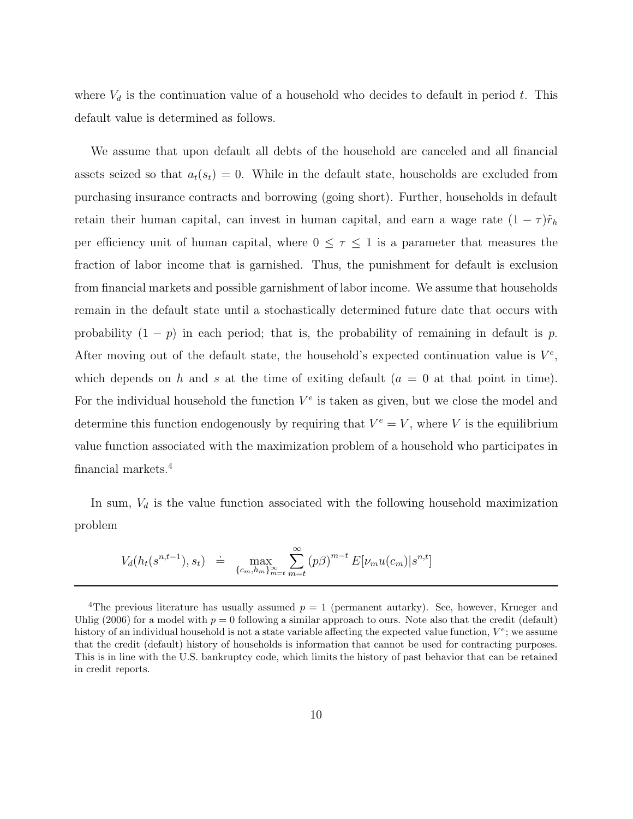where  $V_d$  is the continuation value of a household who decides to default in period  $t$ . This default value is determined as follows.

We assume that upon default all debts of the household are canceled and all financial assets seized so that  $a_t(s_t) = 0$ . While in the default state, households are excluded from purchasing insurance contracts and borrowing (going short). Further, households in default retain their human capital, can invest in human capital, and earn a wage rate  $(1 - \tau)\tilde{r}_h$ per efficiency unit of human capital, where  $0 \leq \tau \leq 1$  is a parameter that measures the fraction of labor income that is garnished. Thus, the punishment for default is exclusion from financial markets and possible garnishment of labor income. We assume that households remain in the default state until a stochastically determined future date that occurs with probability  $(1 - p)$  in each period; that is, the probability of remaining in default is *p*. After moving out of the default state, the household's expected continuation value is  $V^e$ , which depends on  $h$  and  $s$  at the time of exiting default  $(a = 0$  at that point in time). For the individual household the function  $V^e$  is taken as given, but we close the model and determine this function endogenously by requiring that  $V^e = V$ , where *V* is the equilibrium value function associated with the maximization problem of a household who participates in financial markets.<sup>4</sup>

In sum,  $V_d$  is the value function associated with the following household maximization problem

$$
V_d(h_t(s^{n,t-1}), s_t) \doteq \max_{\{c_m, h_m\}_{m=t}^{\infty}} \sum_{m=t}^{\infty} (p\beta)^{m-t} E[\nu_m u(c_m)|s^{n,t}]
$$

<sup>&</sup>lt;sup>4</sup>The previous literature has usually assumed  $p = 1$  (permanent autarky). See, however, Krueger and Uhlig (2006) for a model with  $p = 0$  following a similar approach to ours. Note also that the credit (default) history of an individual household is not a state variable affecting the expected value function,  $V^e$ ; we assume that the credit (default) history of households is information that cannot be used for contracting purposes. This is in line with the U.S. bankruptcy code, which limits the history of past behavior that can be retained in credit reports.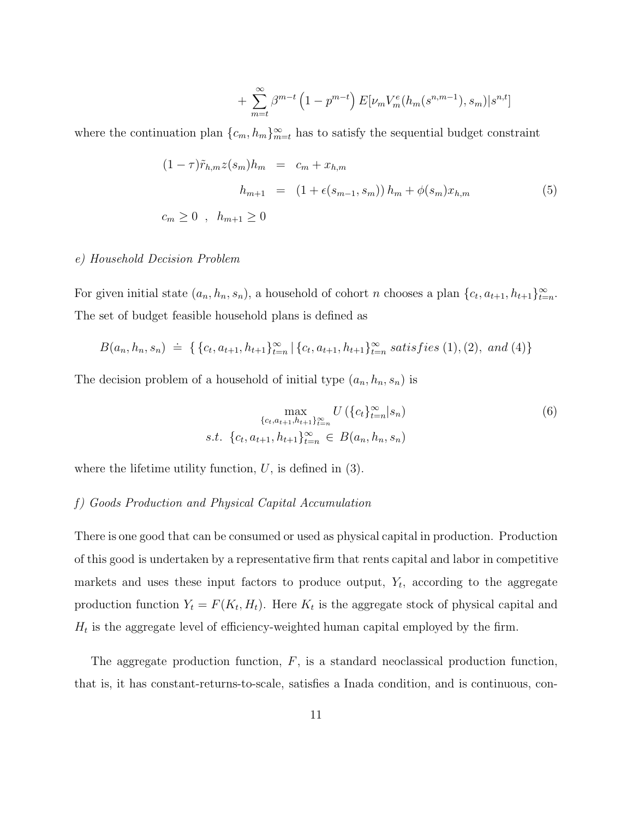+ 
$$
\sum_{m=t}^{\infty} \beta^{m-t} \left(1 - p^{m-t}\right) E[\nu_m V_m^e(h_m(s^{n,m-1}), s_m)|s^{n,t}]
$$

where the continuation plan  ${c_m, h_m}_{m=t}^{\infty}$  has to satisfy the sequential budget constraint

$$
(1 - \tau)\tilde{r}_{h,m}z(s_m)h_m = c_m + x_{h,m}
$$
  
\n
$$
h_{m+1} = (1 + \epsilon(s_{m-1}, s_m))h_m + \phi(s_m)x_{h,m}
$$
  
\n
$$
c_m \ge 0, h_{m+1} \ge 0
$$
\n(5)

#### *e) Household Decision Problem*

For given initial state  $(a_n, h_n, s_n)$ , a household of cohort *n* chooses a plan  $\{c_t, a_{t+1}, h_{t+1}\}_{t=n}^{\infty}$ . The set of budget feasible household plans is defined as

$$
B(a_n, h_n, s_n) \doteq \{ \{c_t, a_{t+1}, h_{t+1}\}_{t=n}^{\infty} | \{c_t, a_{t+1}, h_{t+1}\}_{t=n}^{\infty} satisfies (1), (2), and (4) \}
$$

The decision problem of a household of initial type  $(a_n, h_n, s_n)$  is

$$
\max_{\{c_t, a_{t+1}, h_{t+1}\}_{t=n}^{\infty}} U(\{c_t\}_{t=n}^{\infty}|s_n)
$$
\n
$$
s.t. \{c_t, a_{t+1}, h_{t+1}\}_{t=n}^{\infty} \in B(a_n, h_n, s_n)
$$
\n
$$
(6)
$$

where the lifetime utility function,  $U$ , is defined in  $(3)$ .

#### *f) Goods Production and Physical Capital Accumulation*

There is one good that can be consumed or used as physical capital in production. Production of this good is undertaken by a representative firm that rents capital and labor in competitive markets and uses these input factors to produce output,  $Y_t$ , according to the aggregate production function  $Y_t = F(K_t, H_t)$ . Here  $K_t$  is the aggregate stock of physical capital and  $H_t$  is the aggregate level of efficiency-weighted human capital employed by the firm.

The aggregate production function, *F*, is a standard neoclassical production function, that is, it has constant-returns-to-scale, satisfies a Inada condition, and is continuous, con-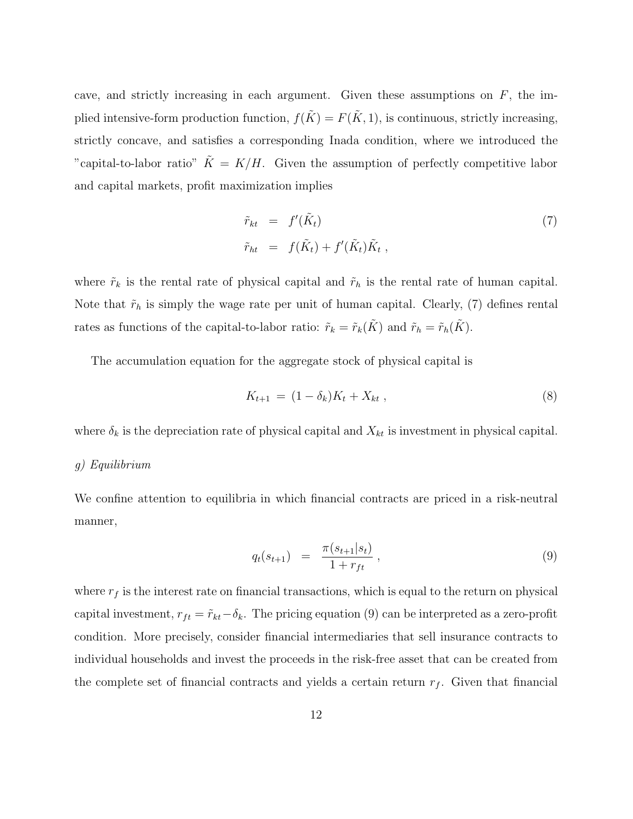cave, and strictly increasing in each argument. Given these assumptions on *F*, the implied intensive-form production function,  $f(\tilde{K}) = F(\tilde{K}, 1)$ , is continuous, strictly increasing, strictly concave, and satisfies a corresponding Inada condition, where we introduced the "capital-to-labor ratio"  $\tilde{K} = K/H$ . Given the assumption of perfectly competitive labor and capital markets, profit maximization implies

$$
\tilde{r}_{kt} = f'(\tilde{K}_t) \n\tilde{r}_{ht} = f(\tilde{K}_t) + f'(\tilde{K}_t)\tilde{K}_t,
$$
\n(7)

where  $\tilde{r}_k$  is the rental rate of physical capital and  $\tilde{r}_h$  is the rental rate of human capital. Note that  $\tilde{r}_h$  is simply the wage rate per unit of human capital. Clearly, (7) defines rental rates as functions of the capital-to-labor ratio:  $\tilde{r}_k = \tilde{r}_k(K)$  and  $\tilde{r}_h = \tilde{r}_h(K)$ .

The accumulation equation for the aggregate stock of physical capital is

$$
K_{t+1} = (1 - \delta_k)K_t + X_{kt} , \qquad (8)
$$

where  $\delta_k$  is the depreciation rate of physical capital and  $X_{kt}$  is investment in physical capital.

#### *g) Equilibrium*

We confine attention to equilibria in which financial contracts are priced in a risk-neutral manner,

$$
q_t(s_{t+1}) = \frac{\pi(s_{t+1}|s_t)}{1 + r_{ft}}, \qquad (9)
$$

where  $r_f$  is the interest rate on financial transactions, which is equal to the return on physical capital investment,  $r_{ft} = \tilde{r}_{kt} - \delta_k$ . The pricing equation (9) can be interpreted as a zero-profit condition. More precisely, consider financial intermediaries that sell insurance contracts to individual households and invest the proceeds in the risk-free asset that can be created from the complete set of financial contracts and yields a certain return  $r_f$ . Given that financial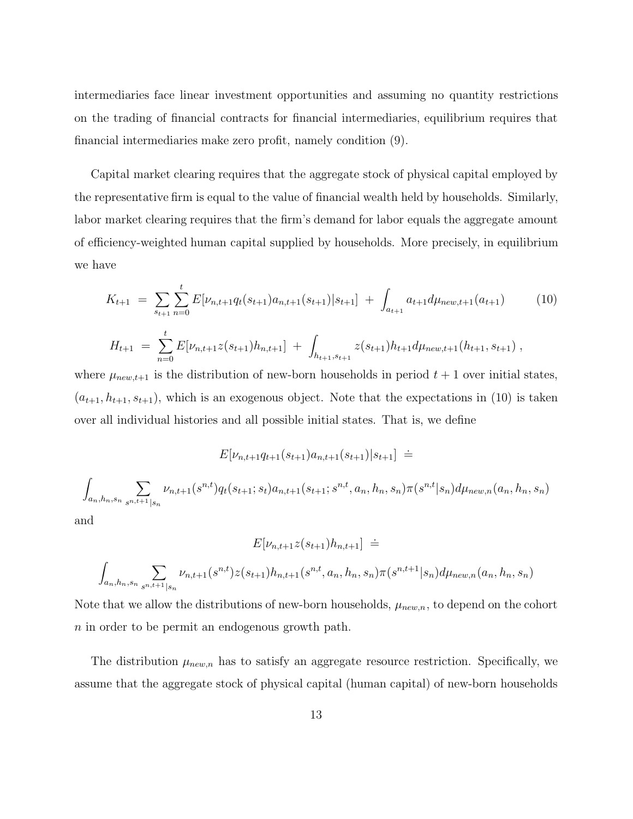intermediaries face linear investment opportunities and assuming no quantity restrictions on the trading of financial contracts for financial intermediaries, equilibrium requires that financial intermediaries make zero profit, namely condition (9).

Capital market clearing requires that the aggregate stock of physical capital employed by the representative firm is equal to the value of financial wealth held by households. Similarly, labor market clearing requires that the firm's demand for labor equals the aggregate amount of efficiency-weighted human capital supplied by households. More precisely, in equilibrium we have

$$
K_{t+1} = \sum_{s_{t+1}} \sum_{n=0}^{t} E[\nu_{n,t+1} q_t(s_{t+1}) a_{n,t+1}(s_{t+1}) | s_{t+1}] + \int_{a_{t+1}} a_{t+1} d\mu_{new,t+1}(a_{t+1})
$$
(10)  

$$
H_{t+1} = \sum_{n=0}^{t} E[\nu_{n,t+1} z(s_{t+1}) h_{n,t+1}] + \int_{h_{t+1}, s_{t+1}} z(s_{t+1}) h_{t+1} d\mu_{new,t+1}(h_{t+1}, s_{t+1}),
$$

where  $\mu_{new,t+1}$  is the distribution of new-born households in period  $t+1$  over initial states,  $(a_{t+1}, h_{t+1}, s_{t+1})$ , which is an exogenous object. Note that the expectations in (10) is taken over all individual histories and all possible initial states. That is, we define

$$
E[\nu_{n,t+1}q_{t+1}(s_{t+1})a_{n,t+1}(s_{t+1})|s_{t+1}] =
$$
  

$$
\int_{a_n,h_n,s_n} \sum_{s^{n,t+1}|s_n} \nu_{n,t+1}(s^{n,t})q_t(s_{t+1};s_t)a_{n,t+1}(s_{t+1};s^{n,t},a_n,h_n,s_n)\pi(s^{n,t}|s_n)d\mu_{new,n}(a_n,h_n,s_n)
$$

and

$$
E[\nu_{n,t+1}z(s_{t+1})h_{n,t+1}] =
$$
  

$$
\int_{a_n,h_n,s_n} \sum_{s^{n,t+1}|s_n} \nu_{n,t+1}(s^{n,t})z(s_{t+1})h_{n,t+1}(s^{n,t},a_n,h_n,s_n)\pi(s^{n,t+1}|s_n)d\mu_{new,n}(a_n,h_n,s_n)
$$

Note that we allow the distributions of new-born households,  $\mu_{new,n}$ , to depend on the cohort *n* in order to be permit an endogenous growth path.

The distribution  $\mu_{new,n}$  has to satisfy an aggregate resource restriction. Specifically, we assume that the aggregate stock of physical capital (human capital) of new-born households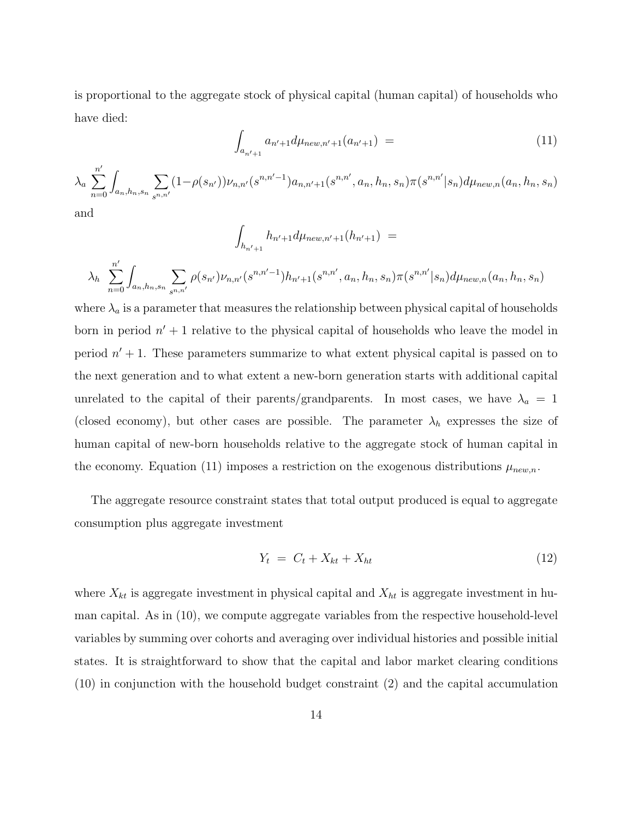is proportional to the aggregate stock of physical capital (human capital) of households who have died:

$$
\int_{a_{n'+1}} a_{n'+1} d\mu_{new,n'+1}(a_{n'+1}) = \tag{11}
$$

$$
\lambda_a \sum_{n=0}^{n'} \int_{a_n, h_n, s_n} \sum_{s^{n,n'}} (1 - \rho(s_{n'})) \nu_{n,n'}(s^{n,n'-1}) a_{n,n'+1}(s^{n,n'}, a_n, h_n, s_n) \pi(s^{n,n'} | s_n) d\mu_{new,n}(a_n, h_n, s_n)
$$

and

$$
\int_{h_{n'+1}} h_{n'+1} d\mu_{new,n'+1}(h_{n'+1}) =
$$
\n
$$
\lambda_h \sum_{n=0}^{n'} \int_{a_n, h_n, s_n} \sum_{s^n, n'} \rho(s_{n'}) \nu_{n,n'}(s^{n,n'-1}) h_{n'+1}(s^{n,n'}, a_n, h_n, s_n) \pi(s^{n,n'}|s_n) d\mu_{new,n}(a_n, h_n, s_n)
$$

where  $\lambda_a$  is a parameter that measures the relationship between physical capital of households born in period  $n' + 1$  relative to the physical capital of households who leave the model in period  $n' + 1$ . These parameters summarize to what extent physical capital is passed on to the next generation and to what extent a new-born generation starts with additional capital unrelated to the capital of their parents/grandparents. In most cases, we have  $\lambda_a = 1$ (closed economy), but other cases are possible. The parameter  $\lambda_h$  expresses the size of human capital of new-born households relative to the aggregate stock of human capital in the economy. Equation (11) imposes a restriction on the exogenous distributions  $\mu_{new,n}$ .

The aggregate resource constraint states that total output produced is equal to aggregate consumption plus aggregate investment

$$
Y_t = C_t + X_{kt} + X_{ht} \tag{12}
$$

where  $X_{kt}$  is aggregate investment in physical capital and  $X_{ht}$  is aggregate investment in human capital. As in (10), we compute aggregate variables from the respective household-level variables by summing over cohorts and averaging over individual histories and possible initial states. It is straightforward to show that the capital and labor market clearing conditions (10) in conjunction with the household budget constraint (2) and the capital accumulation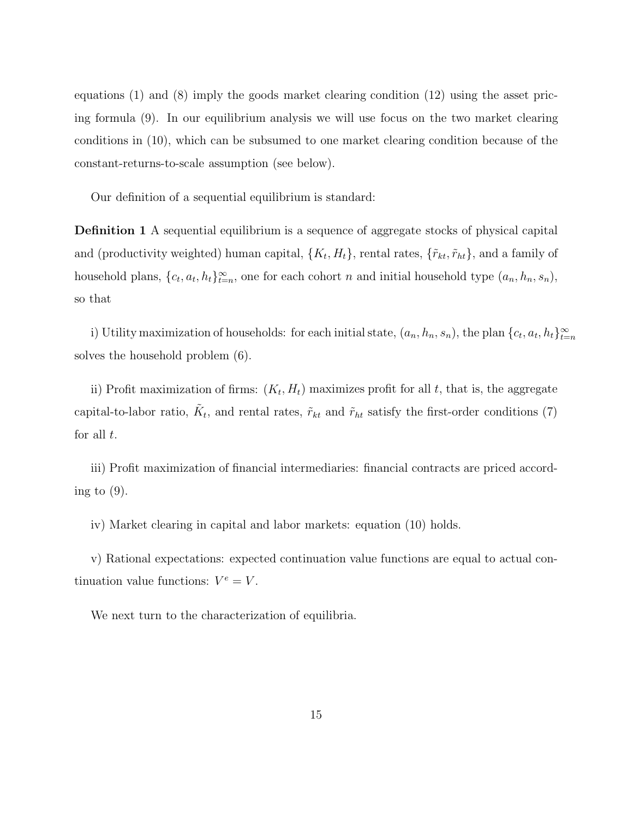equations (1) and (8) imply the goods market clearing condition (12) using the asset pricing formula (9). In our equilibrium analysis we will use focus on the two market clearing conditions in (10), which can be subsumed to one market clearing condition because of the constant-returns-to-scale assumption (see below).

Our definition of a sequential equilibrium is standard:

**Definition 1** A sequential equilibrium is a sequence of aggregate stocks of physical capital and (productivity weighted) human capital,  $\{K_t, H_t\}$ , rental rates,  $\{\tilde{r}_{kt}, \tilde{r}_{ht}\}$ , and a family of household plans,  $\{c_t, a_t, h_t\}_{t=n}^{\infty}$ , one for each cohort *n* and initial household type  $(a_n, h_n, s_n)$ , so that

i) Utility maximization of households: for each initial state,  $(a_n, h_n, s_n)$ , the plan  $\{c_t, a_t, h_t\}_{t=n}^{\infty}$ solves the household problem (6).

ii) Profit maximization of firms:  $(K_t, H_t)$  maximizes profit for all t, that is, the aggregate capital-to-labor ratio,  $\tilde{K}_t$ , and rental rates,  $\tilde{r}_{kt}$  and  $\tilde{r}_{ht}$  satisfy the first-order conditions (7) for all *t*.

iii) Profit maximization of financial intermediaries: financial contracts are priced according to  $(9)$ .

iv) Market clearing in capital and labor markets: equation (10) holds.

v) Rational expectations: expected continuation value functions are equal to actual continuation value functions:  $V^e = V$ .

We next turn to the characterization of equilibria.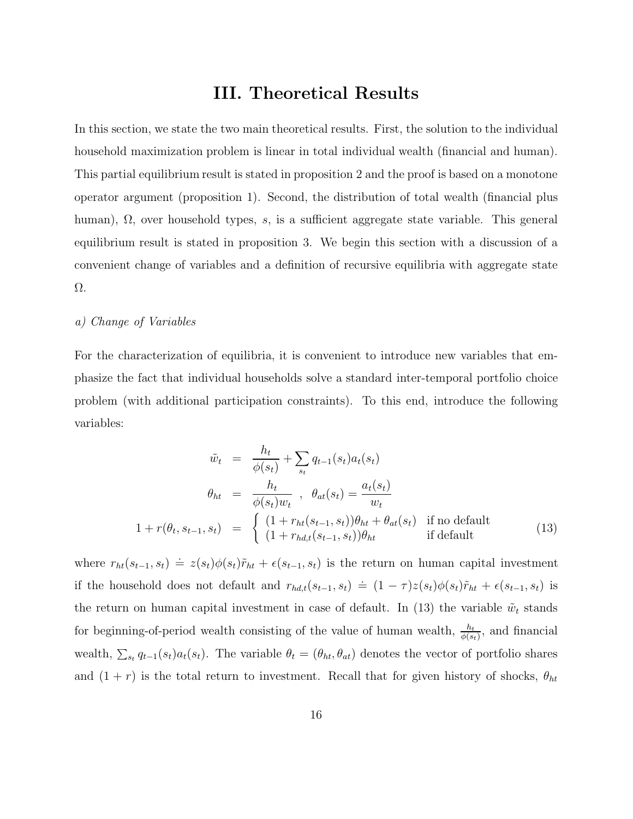# **III. Theoretical Results**

In this section, we state the two main theoretical results. First, the solution to the individual household maximization problem is linear in total individual wealth (financial and human). This partial equilibrium result is stated in proposition 2 and the proof is based on a monotone operator argument (proposition 1). Second, the distribution of total wealth (financial plus human), Ω, over household types, *s*, is a sufficient aggregate state variable. This general equilibrium result is stated in proposition 3. We begin this section with a discussion of a convenient change of variables and a definition of recursive equilibria with aggregate state Ω.

#### *a) Change of Variables*

For the characterization of equilibria, it is convenient to introduce new variables that emphasize the fact that individual households solve a standard inter-temporal portfolio choice problem (with additional participation constraints). To this end, introduce the following variables:

$$
\tilde{w}_t = \frac{h_t}{\phi(s_t)} + \sum_{s_t} q_{t-1}(s_t) a_t(s_t)
$$
\n
$$
\theta_{ht} = \frac{h_t}{\phi(s_t) w_t}, \quad \theta_{at}(s_t) = \frac{a_t(s_t)}{w_t}
$$
\n
$$
1 + r(\theta_t, s_{t-1}, s_t) = \begin{cases} (1 + r_{ht}(s_{t-1}, s_t)) \theta_{ht} + \theta_{at}(s_t) & \text{if no default} \\ (1 + r_{hd,t}(s_{t-1}, s_t)) \theta_{ht} & \text{if default} \end{cases}
$$
\n
$$
(13)
$$

where  $r_{ht}(s_{t-1}, s_t) \doteq z(s_t)\phi(s_t)\tilde{r}_{ht} + \epsilon(s_{t-1}, s_t)$  is the return on human capital investment if the household does not default and  $r_{hd,t}(s_{t-1}, s_t) \doteq (1 - \tau)z(s_t)\phi(s_t)\tilde{r}_{ht} + \epsilon(s_{t-1}, s_t)$  is the return on human capital investment in case of default. In  $(13)$  the variable  $\tilde{w}_t$  stands for beginning-of-period wealth consisting of the value of human wealth,  $\frac{h_t}{\phi(s_t)}$ , and financial wealth,  $\sum_{s_t} q_{t-1}(s_t) a_t(s_t)$ . The variable  $\theta_t = (\theta_{ht}, \theta_{at})$  denotes the vector of portfolio shares and  $(1 + r)$  is the total return to investment. Recall that for given history of shocks,  $\theta_{ht}$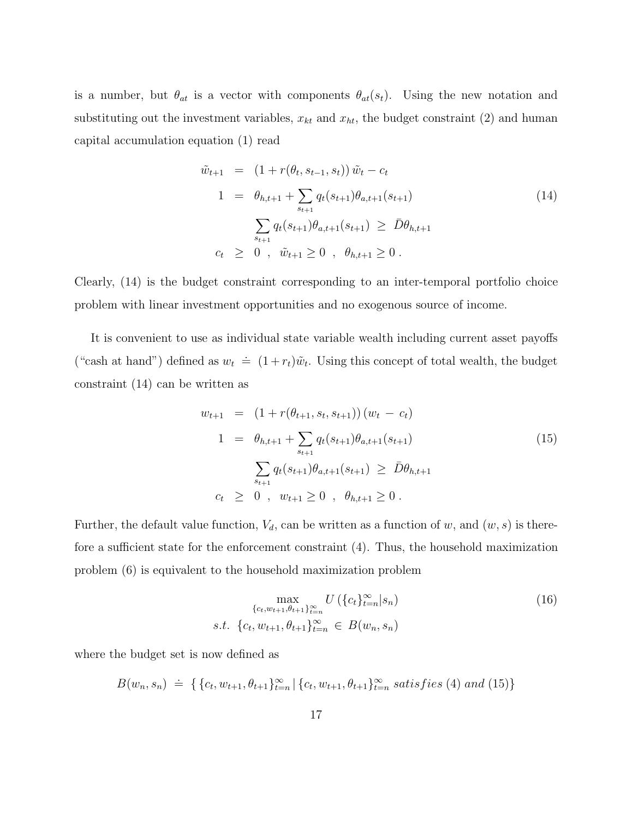is a number, but  $\theta_{at}$  is a vector with components  $\theta_{at}(s_t)$ . Using the new notation and substituting out the investment variables,  $x_{kt}$  and  $x_{ht}$ , the budget constraint (2) and human capital accumulation equation (1) read

$$
\tilde{w}_{t+1} = (1 + r(\theta_t, s_{t-1}, s_t)) \tilde{w}_t - c_t
$$
\n
$$
1 = \theta_{h,t+1} + \sum_{s_{t+1}} q_t(s_{t+1}) \theta_{a,t+1}(s_{t+1})
$$
\n
$$
\sum_{s_{t+1}} q_t(s_{t+1}) \theta_{a,t+1}(s_{t+1}) \ge \bar{D} \theta_{h,t+1}
$$
\n
$$
c_t \ge 0, \quad \tilde{w}_{t+1} \ge 0, \quad \theta_{h,t+1} \ge 0.
$$
\n(14)

Clearly, (14) is the budget constraint corresponding to an inter-temporal portfolio choice problem with linear investment opportunities and no exogenous source of income.

It is convenient to use as individual state variable wealth including current asset payoffs ("cash at hand") defined as  $w_t \doteq (1 + r_t)\tilde{w}_t$ . Using this concept of total wealth, the budget constraint (14) can be written as

$$
w_{t+1} = (1 + r(\theta_{t+1}, s_t, s_{t+1})) (w_t - c_t)
$$
  
\n
$$
1 = \theta_{h,t+1} + \sum_{s_{t+1}} q_t(s_{t+1}) \theta_{a,t+1}(s_{t+1})
$$
  
\n
$$
\sum_{s_{t+1}} q_t(s_{t+1}) \theta_{a,t+1}(s_{t+1}) \ge \bar{D} \theta_{h,t+1}
$$
  
\n
$$
c_t \ge 0, \quad w_{t+1} \ge 0, \quad \theta_{h,t+1} \ge 0.
$$
 (15)

Further, the default value function,  $V_d$ , can be written as a function of w, and  $(w, s)$  is therefore a sufficient state for the enforcement constraint (4). Thus, the household maximization problem (6) is equivalent to the household maximization problem

$$
\max_{\{c_t, w_{t+1}, \theta_{t+1}\}_{t=n}^{\infty}} U\left(\{c_t\}_{t=n}^{\infty} | s_n\right)
$$
\n
$$
s.t. \ \{c_t, w_{t+1}, \theta_{t+1}\}_{t=n}^{\infty} \in B(w_n, s_n)
$$
\n
$$
(16)
$$

where the budget set is now defined as

$$
B(w_n, s_n) \doteq \{ \{c_t, w_{t+1}, \theta_{t+1}\}_{t=n}^{\infty} | \{c_t, w_{t+1}, \theta_{t+1}\}_{t=n}^{\infty} \text{ satisfies (4) and (15)} \}
$$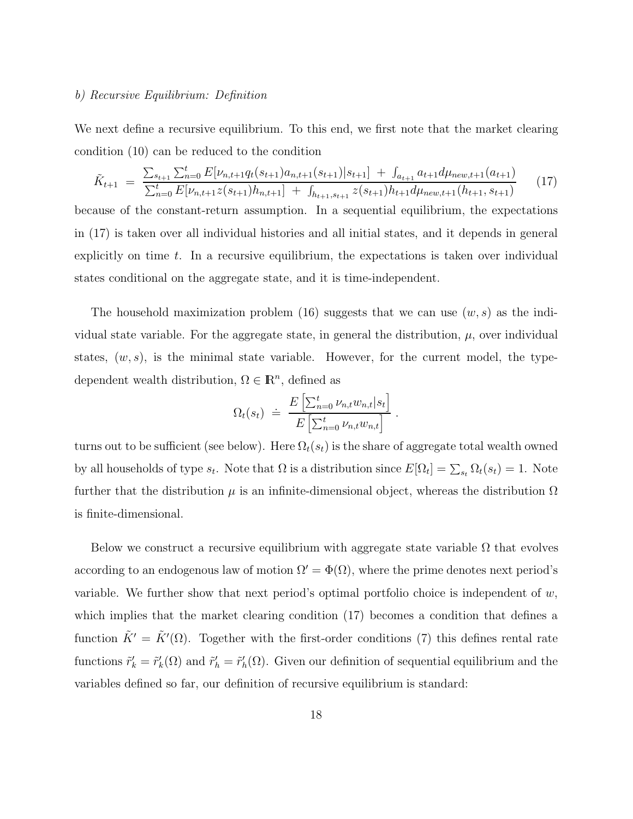#### *b) Recursive Equilibrium: Definition*

We next define a recursive equilibrium. To this end, we first note that the market clearing condition (10) can be reduced to the condition

$$
\tilde{K}_{t+1} = \frac{\sum_{s_{t+1}} \sum_{n=0}^{t} E[\nu_{n,t+1}q_t(s_{t+1})a_{n,t+1}(s_{t+1})|s_{t+1}] + \int_{a_{t+1}} a_{t+1}d\mu_{new,t+1}(a_{t+1})}{\sum_{n=0}^{t} E[\nu_{n,t+1}z(s_{t+1})h_{n,t+1}] + \int_{h_{t+1},s_{t+1}} z(s_{t+1})h_{t+1}d\mu_{new,t+1}(h_{t+1},s_{t+1})} \tag{17}
$$

because of the constant-return assumption. In a sequential equilibrium, the expectations in (17) is taken over all individual histories and all initial states, and it depends in general explicitly on time *t*. In a recursive equilibrium, the expectations is taken over individual states conditional on the aggregate state, and it is time-independent.

The household maximization problem (16) suggests that we can use (*w, s*) as the individual state variable. For the aggregate state, in general the distribution,  $\mu$ , over individual states,  $(w, s)$ , is the minimal state variable. However, for the current model, the typedependent wealth distribution,  $\Omega \in \mathbb{R}^n$ , defined as

$$
\Omega_t(s_t) \doteq \frac{E\left[\sum_{n=0}^t \nu_{n,t} w_{n,t} | s_t\right]}{E\left[\sum_{n=0}^t \nu_{n,t} w_{n,t}\right]}.
$$

turns out to be sufficient (see below). Here  $\Omega_t(s_t)$  is the share of aggregate total wealth owned by all households of type  $s_t$ . Note that  $\Omega$  is a distribution since  $E[\Omega_t] = \sum_{s_t} \Omega_t(s_t) = 1$ . Note further that the distribution  $\mu$  is an infinite-dimensional object, whereas the distribution  $\Omega$ is finite-dimensional.

Below we construct a recursive equilibrium with aggregate state variable  $\Omega$  that evolves according to an endogenous law of motion  $\Omega' = \Phi(\Omega)$ , where the prime denotes next period's variable. We further show that next period's optimal portfolio choice is independent of *w*, which implies that the market clearing condition (17) becomes a condition that defines a function  $\tilde{K}' = \tilde{K}'(\Omega)$ . Together with the first-order conditions (7) this defines rental rate functions  $\tilde{r}'_k = \tilde{r}'_k(\Omega)$  and  $\tilde{r}'_k = \tilde{r}'_k(\Omega)$ . Given our definition of sequential equilibrium and the variables defined so far, our definition of recursive equilibrium is standard: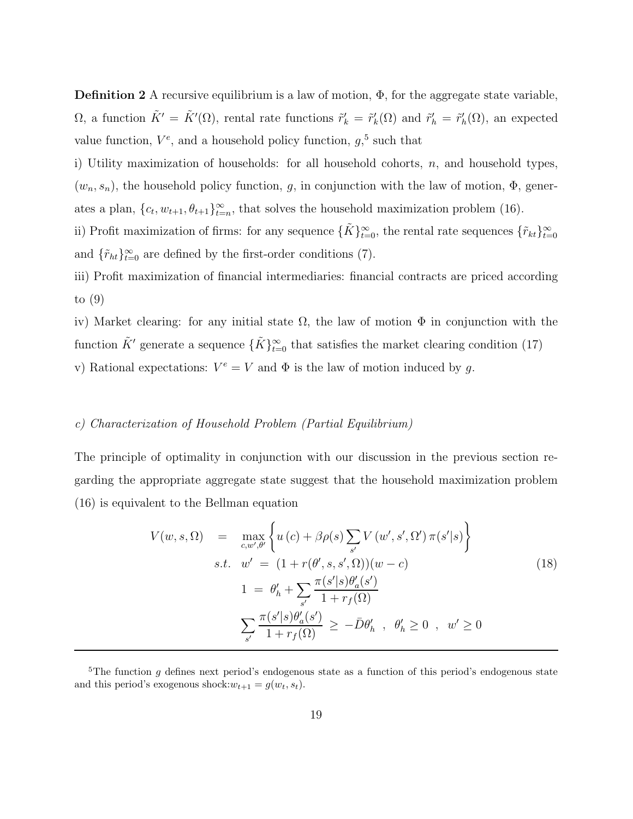**Definition 2** A recursive equilibrium is a law of motion,  $\Phi$ , for the aggregate state variable,  $\Omega$ , a function  $\tilde{K}' = \tilde{K}'(\Omega)$ , rental rate functions  $\tilde{r}'_k = \tilde{r}'_k(\Omega)$  and  $\tilde{r}'_h = \tilde{r}'_h(\Omega)$ , an expected value function,  $V^e$ , and a household policy function,  $g$ <sup>5</sup>, such that

i) Utility maximization of households: for all household cohorts, *n*, and household types,  $(w_n, s_n)$ , the household policy function, *g*, in conjunction with the law of motion,  $\Phi$ , generates a plan,  $\{c_t, w_{t+1}, \theta_{t+1}\}_{t=n}^{\infty}$ , that solves the household maximization problem (16).

ii) Profit maximization of firms: for any sequence  $\{ \tilde{K} \}_{t=0}^{\infty}$ , the rental rate sequences  $\{ \tilde{r}_{kt} \}_{t=0}^{\infty}$ and  $\{\tilde{r}_{ht}\}_{t=0}^{\infty}$  are defined by the first-order conditions (7).

iii) Profit maximization of financial intermediaries: financial contracts are priced according to (9)

iv) Market clearing: for any initial state  $\Omega$ , the law of motion  $\Phi$  in conjunction with the function  $\tilde{K}'$  generate a sequence  $\{\tilde{K}\}_{t=0}^{\infty}$  that satisfies the market clearing condition (17) v) Rational expectations:  $V^e = V$  and  $\Phi$  is the law of motion induced by g.

#### *c) Characterization of Household Problem (Partial Equilibrium)*

The principle of optimality in conjunction with our discussion in the previous section regarding the appropriate aggregate state suggest that the household maximization problem (16) is equivalent to the Bellman equation

$$
V(w, s, \Omega) = \max_{c, w', \theta'} \left\{ u(c) + \beta \rho(s) \sum_{s'} V(w', s', \Omega') \pi(s'|s) \right\}
$$
  
s.t. 
$$
w' = (1 + r(\theta', s, s', \Omega))(w - c)
$$

$$
1 = \theta'_h + \sum_{s'} \frac{\pi(s'|s)\theta'_a(s')}{1 + r_f(\Omega)}
$$

$$
\sum_{s'} \frac{\pi(s'|s)\theta'_a(s')}{1 + r_f(\Omega)} \ge -\bar{D}\theta'_h , \quad \theta'_h \ge 0 , \quad w' \ge 0
$$

<sup>&</sup>lt;sup>5</sup>The function g defines next period's endogenous state as a function of this period's endogenous state and this period's exogenous shock: $w_{t+1} = g(w_t, s_t)$ .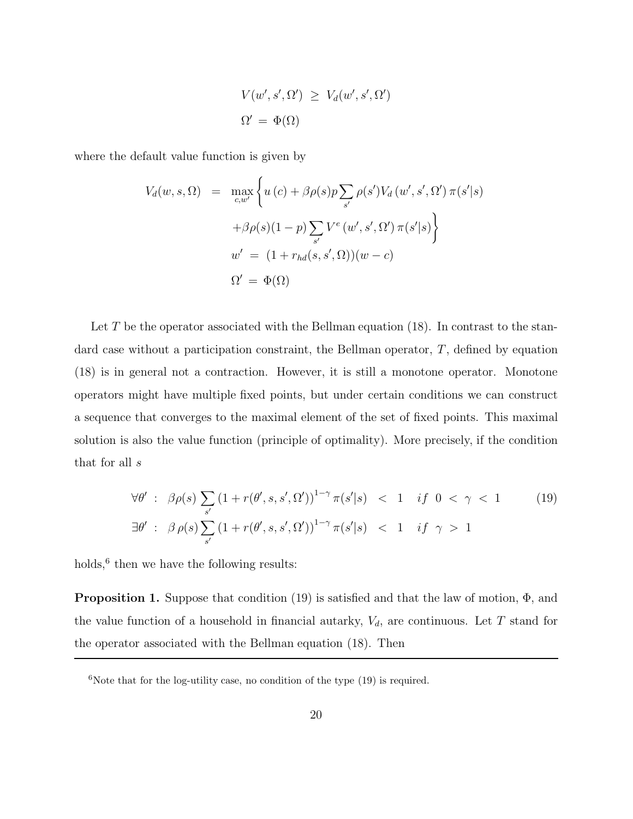$$
V(w', s', \Omega') \ge V_d(w', s', \Omega')
$$
  

$$
\Omega' = \Phi(\Omega)
$$

where the default value function is given by

$$
V_d(w, s, \Omega) = \max_{c, w'} \left\{ u(c) + \beta \rho(s) p \sum_{s'} \rho(s') V_d(w', s', \Omega') \pi(s'|s) + \beta \rho(s) (1-p) \sum_{s'} V^e(w', s', \Omega') \pi(s'|s) \right\}
$$
  

$$
w' = (1 + r_{hd}(s, s', \Omega))(w - c)
$$
  

$$
\Omega' = \Phi(\Omega)
$$

Let T be the operator associated with the Bellman equation (18). In contrast to the standard case without a participation constraint, the Bellman operator, *T*, defined by equation (18) is in general not a contraction. However, it is still a monotone operator. Monotone operators might have multiple fixed points, but under certain conditions we can construct a sequence that converges to the maximal element of the set of fixed points. This maximal solution is also the value function (principle of optimality). More precisely, if the condition that for all *s*

$$
\forall \theta': \beta \rho(s) \sum_{s'} \left(1 + r(\theta', s, s', \Omega')\right)^{1-\gamma} \pi(s'|s) < 1 \quad \text{if } 0 < \gamma < 1 \tag{19}
$$
\n
$$
\exists \theta': \beta \rho(s) \sum_{s'} \left(1 + r(\theta', s, s', \Omega')\right)^{1-\gamma} \pi(s'|s) < 1 \quad \text{if } \gamma > 1
$$

holds,  $6$  then we have the following results:

**Proposition 1.** Suppose that condition (19) is satisfied and that the law of motion, Φ, and the value function of a household in financial autarky,  $V_d$ , are continuous. Let  $T$  stand for the operator associated with the Bellman equation (18). Then

 $6$ Note that for the log-utility case, no condition of the type  $(19)$  is required.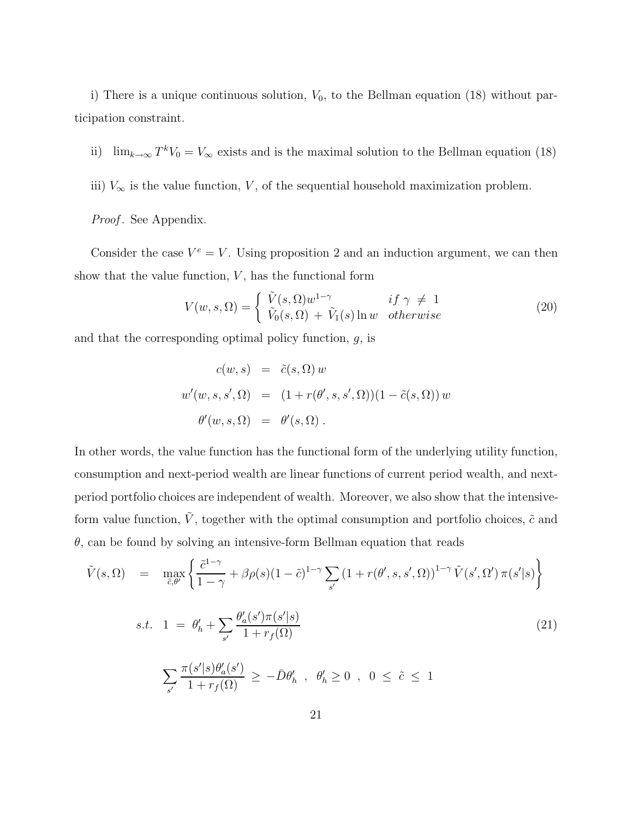i) There is a unique continuous solution,  $V_0$ , to the Bellman equation (18) without participation constraint.

- ii) lim<sub>k→∞</sub>  $T^kV_0 = V_{\infty}$  exists and is the maximal solution to the Bellman equation (18)
- iii)  $V_{\infty}$  is the value function, *V*, of the sequential household maximization problem.

#### *Proof.* See Appendix.

Consider the case  $V^e = V$ . Using proposition 2 and an induction argument, we can then show that the value function,  $V$ , has the functional form

$$
V(w, s, \Omega) = \begin{cases} \tilde{V}(s, \Omega) w^{1-\gamma} & \text{if } \gamma \neq 1\\ \tilde{V}_0(s, \Omega) + \tilde{V}_1(s) \ln w & otherwise \end{cases}
$$
 (20)

and that the corresponding optimal policy function, *g*, is

$$
c(w, s) = \tilde{c}(s, \Omega) w
$$
  

$$
w'(w, s, s', \Omega) = (1 + r(\theta', s, s', \Omega))(1 - \tilde{c}(s, \Omega)) w
$$
  

$$
\theta'(w, s, \Omega) = \theta'(s, \Omega).
$$

In other words, the value function has the functional form of the underlying utility function, consumption and next-period wealth are linear functions of current period wealth, and nextperiod portfolio choices are independent of wealth. Moreover, we also show that the intensiveform value function,  $\tilde{V}$ , together with the optimal consumption and portfolio choices,  $\tilde{c}$  and *θ*, can be found by solving an intensive-form Bellman equation that reads

$$
\tilde{V}(s,\Omega) = \max_{\tilde{c},\theta'} \left\{ \frac{\tilde{c}^{1-\gamma}}{1-\gamma} + \beta \rho(s)(1-\tilde{c})^{1-\gamma} \sum_{s'} \left(1 + r(\theta',s,s',\Omega)\right)^{1-\gamma} \tilde{V}(s',\Omega') \,\pi(s'|s) \right\}
$$

$$
s.t. \quad 1 \ = \ \theta_h' + \sum_{s'} \frac{\theta_a'(s')\pi(s'|s)}{1 + r_f(\Omega)} \tag{21}
$$

$$
\sum_{s'} \frac{\pi(s'|s) \theta_a'(s')}{1 + r_f(\Omega)} \, \geq \, - \bar{D} \theta_h' \;\; , \;\; \theta_h' \geq 0 \;\; , \;\; 0 \; \leq \; \tilde{c} \; \leq \; 1
$$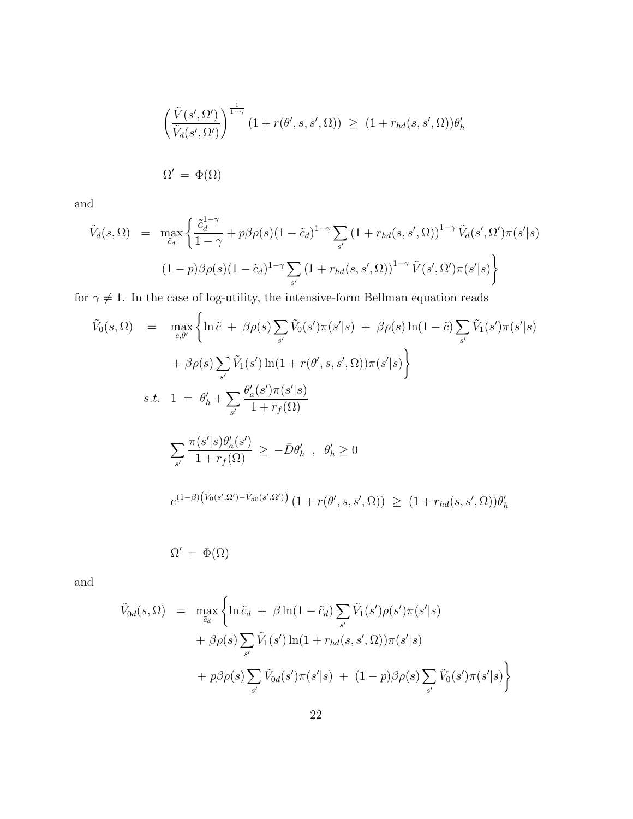$$
\left(\frac{\tilde{V}(s', \Omega')}{\tilde{V}_d(s', \Omega')}\right)^{\frac{1}{1-\gamma}} (1 + r(\theta', s, s', \Omega)) \ge (1 + r_{hd}(s, s', \Omega))\theta'_h
$$
  

$$
\Omega' = \Phi(\Omega)
$$

and

$$
\tilde{V}_d(s,\Omega) = \max_{\tilde{c}_d} \left\{ \frac{\tilde{c}_d^{1-\gamma}}{1-\gamma} + p\beta \rho(s)(1-\tilde{c}_d)^{1-\gamma} \sum_{s'} \left(1 + r_{hd}(s,s',\Omega)\right)^{1-\gamma} \tilde{V}_d(s',\Omega') \pi(s'|s) \right\}
$$
\n
$$
(1-p)\beta \rho(s)(1-\tilde{c}_d)^{1-\gamma} \sum_{s'} \left(1 + r_{hd}(s,s',\Omega)\right)^{1-\gamma} \tilde{V}(s',\Omega') \pi(s'|s) \right\}
$$

for  $\gamma \neq 1$ . In the case of log-utility, the intensive-form Bellman equation reads

$$
\tilde{V}_0(s, \Omega) = \max_{\tilde{c}, \theta'} \left\{ \ln \tilde{c} + \beta \rho(s) \sum_{s'} \tilde{V}_0(s') \pi(s'|s) + \beta \rho(s) \ln(1 - \tilde{c}) \sum_{s'} \tilde{V}_1(s') \pi(s'|s) + \beta \rho(s) \sum_{s'} \tilde{V}_1(s') \ln(1 + r(\theta', s, s', \Omega)) \pi(s'|s) \right\}
$$
\n
$$
s.t. \quad 1 = \theta'_h + \sum_{s'} \frac{\theta'_a(s') \pi(s'|s)}{1 + r_f(\Omega)}
$$
\n
$$
\sum_{s'} \frac{\pi(s'|s) \theta'_a(s')}{1 + r_f(\Omega)} \ge -\bar{D} \theta'_h \quad , \quad \theta'_h \ge 0
$$
\n
$$
e^{(1-\beta)\left(\tilde{V}_0(s', \Omega') - \tilde{V}_{d0}(s', \Omega')\right)} \left(1 + r(\theta', s, s', \Omega)\right) \ge \left(1 + r_{hd}(s, s', \Omega)\right) \theta'_h
$$

$$
\Omega' = \Phi(\Omega)
$$

and

$$
\tilde{V}_{0d}(s,\Omega) = \max_{\tilde{c}_d} \left\{ \ln \tilde{c}_d + \beta \ln(1-\tilde{c}_d) \sum_{s'} \tilde{V}_1(s') \rho(s') \pi(s'|s) + \beta \rho(s) \sum_{s'} \tilde{V}_1(s') \ln(1+r_{hd}(s,s',\Omega)) \pi(s'|s) + p\beta \rho(s) \sum_{s'} \tilde{V}_{0d}(s') \pi(s'|s) + (1-p)\beta \rho(s) \sum_{s'} \tilde{V}_0(s') \pi(s'|s) \right\}
$$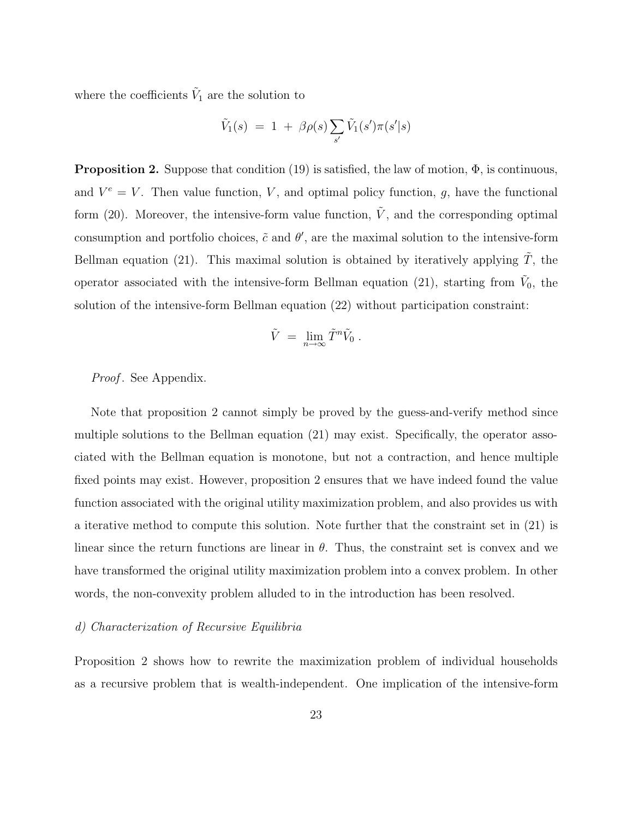where the coefficients  $\tilde{V}_1$  are the solution to

$$
\tilde{V}_1(s) = 1 + \beta \rho(s) \sum_{s'} \tilde{V}_1(s') \pi(s'|s)
$$

**Proposition 2.** Suppose that condition (19) is satisfied, the law of motion, Φ, is continuous, and  $V^e = V$ . Then value function, *V*, and optimal policy function, *g*, have the functional form (20). Moreover, the intensive-form value function,  $\tilde{V}$ , and the corresponding optimal consumption and portfolio choices,  $\tilde{c}$  and  $\theta'$ , are the maximal solution to the intensive-form Bellman equation (21). This maximal solution is obtained by iteratively applying  $\ddot{T}$ , the operator associated with the intensive-form Bellman equation (21), starting from  $\tilde{V}_0$ , the solution of the intensive-form Bellman equation (22) without participation constraint:

$$
\tilde{V} \;=\; \lim_{n\to\infty} \tilde{T}^n \tilde{V}_0 \;.
$$

*Proof* . See Appendix.

Note that proposition 2 cannot simply be proved by the guess-and-verify method since multiple solutions to the Bellman equation (21) may exist. Specifically, the operator associated with the Bellman equation is monotone, but not a contraction, and hence multiple fixed points may exist. However, proposition 2 ensures that we have indeed found the value function associated with the original utility maximization problem, and also provides us with a iterative method to compute this solution. Note further that the constraint set in (21) is linear since the return functions are linear in  $\theta$ . Thus, the constraint set is convex and we have transformed the original utility maximization problem into a convex problem. In other words, the non-convexity problem alluded to in the introduction has been resolved.

#### *d) Characterization of Recursive Equilibria*

Proposition 2 shows how to rewrite the maximization problem of individual households as a recursive problem that is wealth-independent. One implication of the intensive-form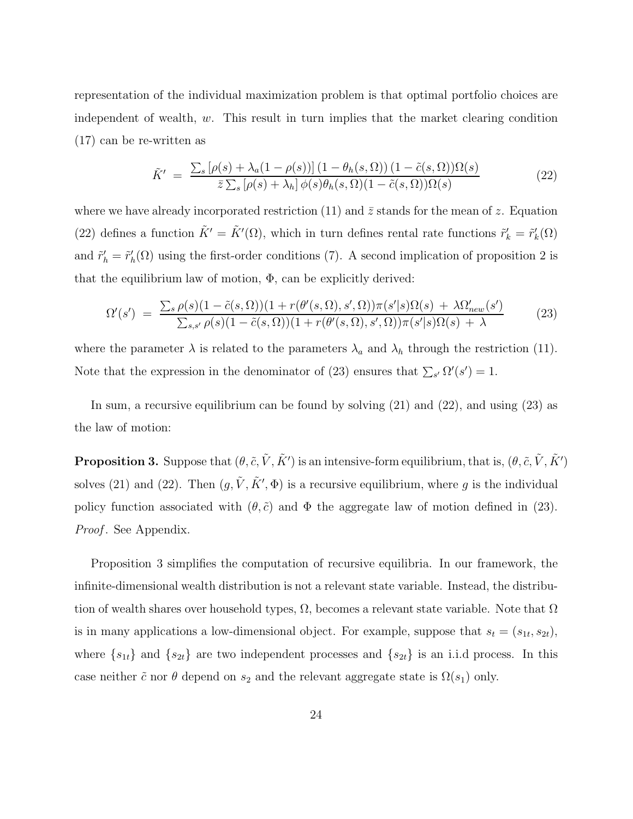representation of the individual maximization problem is that optimal portfolio choices are independent of wealth, *w*. This result in turn implies that the market clearing condition (17) can be re-written as

$$
\tilde{K}' = \frac{\sum_{s} [\rho(s) + \lambda_a (1 - \rho(s))](1 - \theta_h(s, \Omega)) (1 - \tilde{c}(s, \Omega)) \Omega(s)}{\bar{z} \sum_{s} [\rho(s) + \lambda_h] \phi(s) \theta_h(s, \Omega) (1 - \tilde{c}(s, \Omega)) \Omega(s)}
$$
(22)

where we have already incorporated restriction (11) and  $\bar{z}$  stands for the mean of  $z$ . Equation (22) defines a function  $\tilde{K}' = \tilde{K}'(\Omega)$ , which in turn defines rental rate functions  $\tilde{r}'_k = \tilde{r}'_k(\Omega)$ and  $\tilde{r}'_h = \tilde{r}'_h(\Omega)$  using the first-order conditions (7). A second implication of proposition 2 is that the equilibrium law of motion,  $\Phi$ , can be explicitly derived:

$$
\Omega'(s') = \frac{\sum_{s} \rho(s)(1 - \tilde{c}(s, \Omega))(1 + r(\theta'(s, \Omega), s', \Omega))\pi(s'|s)\Omega(s) + \lambda \Omega'_{new}(s')}{\sum_{s,s'} \rho(s)(1 - \tilde{c}(s, \Omega))(1 + r(\theta'(s, \Omega), s', \Omega))\pi(s'|s)\Omega(s) + \lambda}
$$
(23)

where the parameter  $\lambda$  is related to the parameters  $\lambda_a$  and  $\lambda_b$  through the restriction (11). Note that the expression in the denominator of (23) ensures that  $\sum_{s'} \Omega'(s') = 1$ .

In sum, a recursive equilibrium can be found by solving (21) and (22), and using (23) as the law of motion:

**Proposition 3.** Suppose that  $(\theta, \tilde{c}, \tilde{V}, \tilde{K}')$  is an intensive-form equilibrium, that is,  $(\theta, \tilde{c}, \tilde{V}, \tilde{K}')$ solves (21) and (22). Then  $(g, \tilde{V}, \tilde{K}', \Phi)$  is a recursive equilibrium, where g is the individual policy function associated with  $(\theta, \tilde{c})$  and  $\Phi$  the aggregate law of motion defined in (23). *Proof.* See Appendix.

Proposition 3 simplifies the computation of recursive equilibria. In our framework, the infinite-dimensional wealth distribution is not a relevant state variable. Instead, the distribution of wealth shares over household types,  $\Omega$ , becomes a relevant state variable. Note that  $\Omega$ is in many applications a low-dimensional object. For example, suppose that  $s_t = (s_{1t}, s_{2t})$ , where  $\{s_{1t}\}\$  and  $\{s_{2t}\}\$  are two independent processes and  $\{s_{2t}\}\$ is an i.i.d process. In this case neither  $\tilde{c}$  nor  $\theta$  depend on  $s_2$  and the relevant aggregate state is  $\Omega(s_1)$  only.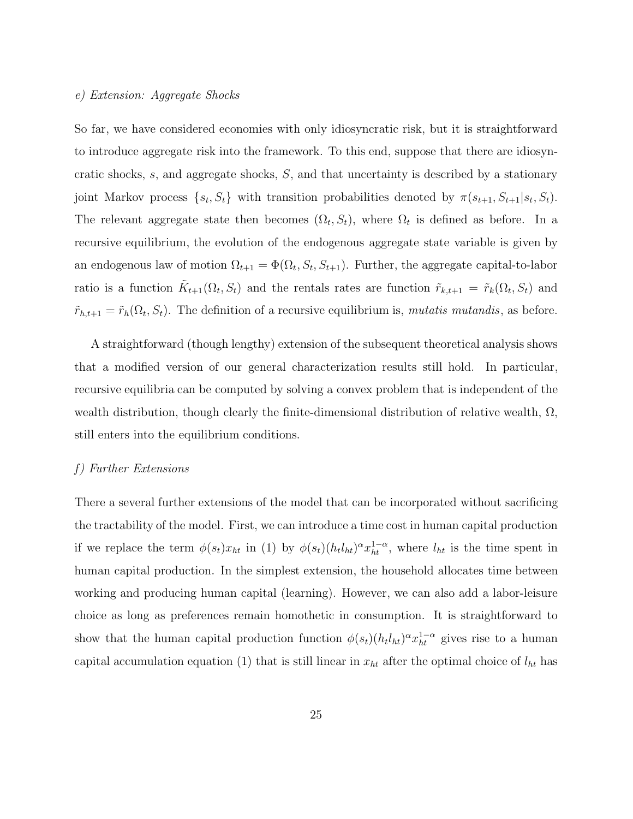#### *e) Extension: Aggregate Shocks*

So far, we have considered economies with only idiosyncratic risk, but it is straightforward to introduce aggregate risk into the framework. To this end, suppose that there are idiosyncratic shocks, *s*, and aggregate shocks, *S*, and that uncertainty is described by a stationary joint Markov process  $\{s_t, S_t\}$  with transition probabilities denoted by  $\pi(s_{t+1}, S_{t+1}|s_t, S_t)$ . The relevant aggregate state then becomes  $(\Omega_t, S_t)$ , where  $\Omega_t$  is defined as before. In a recursive equilibrium, the evolution of the endogenous aggregate state variable is given by an endogenous law of motion  $\Omega_{t+1} = \Phi(\Omega_t, S_t, S_{t+1})$ . Further, the aggregate capital-to-labor ratio is a function  $\tilde{K}_{t+1}(\Omega_t, S_t)$  and the rentals rates are function  $\tilde{r}_{k,t+1} = \tilde{r}_k(\Omega_t, S_t)$  and  $\tilde{r}_{h,t+1} = \tilde{r}_h(\Omega_t, S_t)$ . The definition of a recursive equilibrium is, *mutatis mutandis*, as before.

A straightforward (though lengthy) extension of the subsequent theoretical analysis shows that a modified version of our general characterization results still hold. In particular, recursive equilibria can be computed by solving a convex problem that is independent of the wealth distribution, though clearly the finite-dimensional distribution of relative wealth,  $\Omega$ , still enters into the equilibrium conditions.

#### *f) Further Extensions*

There a several further extensions of the model that can be incorporated without sacrificing the tractability of the model. First, we can introduce a time cost in human capital production if we replace the term  $\phi(s_t)x_{ht}$  in (1) by  $\phi(s_t)(h_t l_{ht})^{\alpha} x_{ht}^{1-\alpha}$ , where  $l_{ht}$  is the time spent in human capital production. In the simplest extension, the household allocates time between working and producing human capital (learning). However, we can also add a labor-leisure choice as long as preferences remain homothetic in consumption. It is straightforward to show that the human capital production function  $\phi(s_t)(h_t h_{tt})^{\alpha} x_{ht}^{1-\alpha}$  gives rise to a human capital accumulation equation (1) that is still linear in  $x_{ht}$  after the optimal choice of  $l_{ht}$  has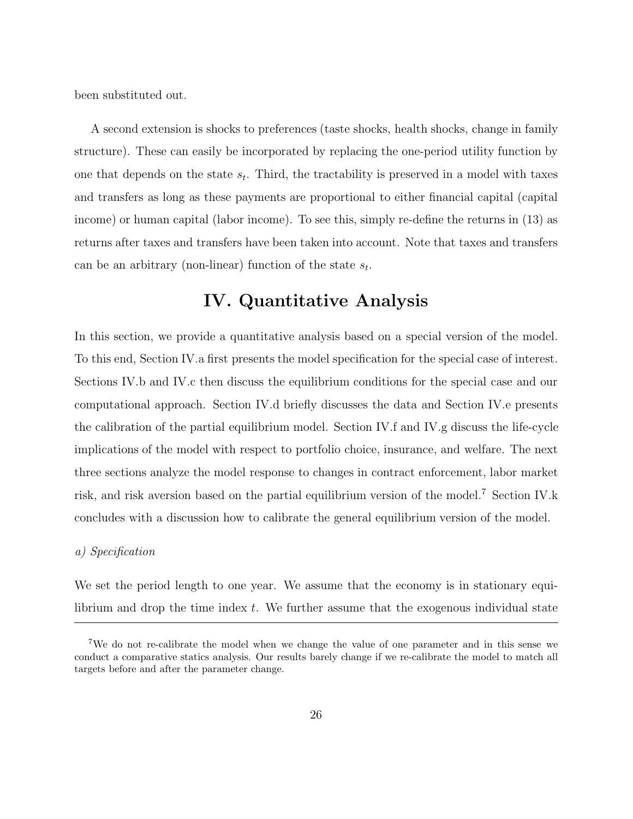been substituted out.

A second extension is shocks to preferences (taste shocks, health shocks, change in family structure). These can easily be incorporated by replacing the one-period utility function by one that depends on the state  $s_t$ . Third, the tractability is preserved in a model with taxes and transfers as long as these payments are proportional to either financial capital (capital income) or human capital (labor income). To see this, simply re-define the returns in (13) as returns after taxes and transfers have been taken into account. Note that taxes and transfers can be an arbitrary (non-linear) function of the state  $s_t$ .

# **IV. Quantitative Analysis**

In this section, we provide a quantitative analysis based on a special version of the model. To this end, Section IV.a first presents the model specification for the special case of interest. Sections IV.b and IV.c then discuss the equilibrium conditions for the special case and our computational approach. Section IV.d briefly discusses the data and Section IV.e presents the calibration of the partial equilibrium model. Section IV.f and IV.g discuss the life-cycle implications of the model with respect to portfolio choice, insurance, and welfare. The next three sections analyze the model response to changes in contract enforcement, labor market risk, and risk aversion based on the partial equilibrium version of the model.<sup>7</sup> Section IV.k concludes with a discussion how to calibrate the general equilibrium version of the model.

#### *a) Specification*

We set the period length to one year. We assume that the economy is in stationary equilibrium and drop the time index *t*. We further assume that the exogenous individual state

<sup>7</sup>We do not re-calibrate the model when we change the value of one parameter and in this sense we conduct a comparative statics analysis. Our results barely change if we re-calibrate the model to match all targets before and after the parameter change.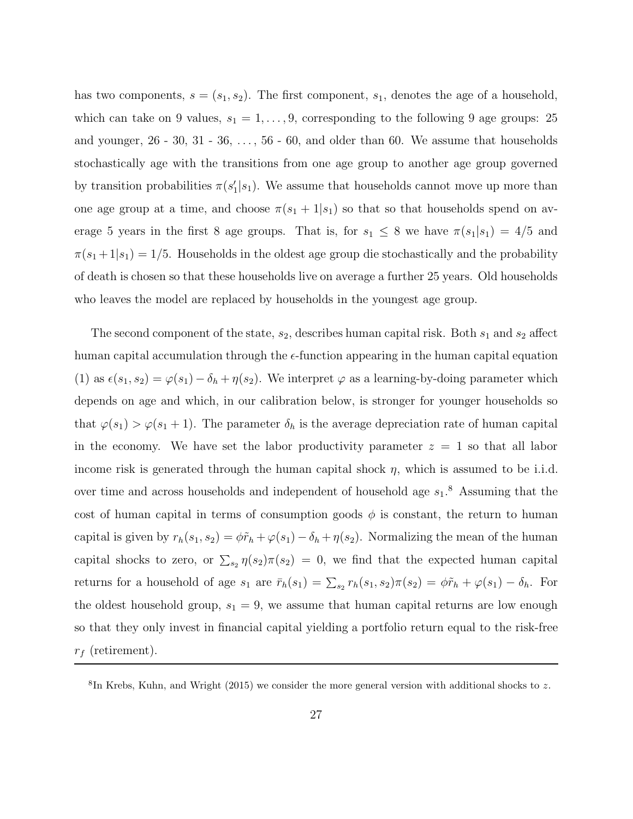has two components,  $s = (s_1, s_2)$ . The first component,  $s_1$ , denotes the age of a household, which can take on 9 values,  $s_1 = 1, \ldots, 9$ , corresponding to the following 9 age groups: 25 and younger,  $26 - 30$ ,  $31 - 36$ ,  $\dots$ ,  $56 - 60$ , and older than 60. We assume that households stochastically age with the transitions from one age group to another age group governed by transition probabilities  $\pi(s_1'|s_1)$ . We assume that households cannot move up more than one age group at a time, and choose  $\pi(s_1 + 1|s_1)$  so that so that households spend on average 5 years in the first 8 age groups. That is, for  $s_1 \leq 8$  we have  $\pi(s_1|s_1)=4/5$  and  $\pi(s_1+1|s_1)=1/5$ . Households in the oldest age group die stochastically and the probability of death is chosen so that these households live on average a further 25 years. Old households who leaves the model are replaced by households in the youngest age group.

The second component of the state,  $s_2$ , describes human capital risk. Both  $s_1$  and  $s_2$  affect human capital accumulation through the  $\epsilon$ -function appearing in the human capital equation (1) as  $\epsilon(s_1, s_2) = \varphi(s_1) - \delta_h + \eta(s_2)$ . We interpret  $\varphi$  as a learning-by-doing parameter which depends on age and which, in our calibration below, is stronger for younger households so that  $\varphi(s_1) > \varphi(s_1 + 1)$ . The parameter  $\delta_h$  is the average depreciation rate of human capital in the economy. We have set the labor productivity parameter  $z = 1$  so that all labor income risk is generated through the human capital shock *η*, which is assumed to be i.i.d. over time and across households and independent of household age *s*1. <sup>8</sup> Assuming that the cost of human capital in terms of consumption goods  $\phi$  is constant, the return to human capital is given by  $r_h(s_1, s_2) = \phi \tilde{r}_h + \varphi(s_1) - \delta_h + \eta(s_2)$ . Normalizing the mean of the human capital shocks to zero, or  $\sum_{s_2} \eta(s_2) \pi(s_2) = 0$ , we find that the expected human capital returns for a household of age  $s_1$  are  $\bar{r}_h(s_1) = \sum_{s_2} r_h(s_1, s_2) \pi(s_2) = \phi \tilde{r}_h + \varphi(s_1) - \delta_h$ . For the oldest household group,  $s_1 = 9$ , we assume that human capital returns are low enough so that they only invest in financial capital yielding a portfolio return equal to the risk-free *r*<sup>f</sup> (retirement).

 ${}^{8}$ In Krebs, Kuhn, and Wright (2015) we consider the more general version with additional shocks to z.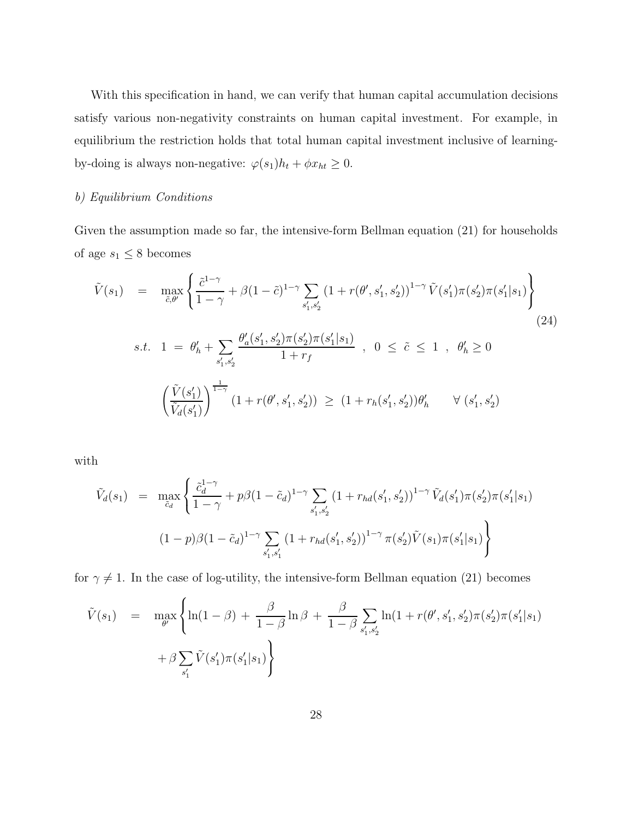With this specification in hand, we can verify that human capital accumulation decisions satisfy various non-negativity constraints on human capital investment. For example, in equilibrium the restriction holds that total human capital investment inclusive of learningby-doing is always non-negative:  $\varphi(s_1)h_t + \phi x_{ht} \geq 0$ .

#### *b) Equilibrium Conditions*

Given the assumption made so far, the intensive-form Bellman equation (21) for households of age $s_1\leq 8$  becomes

$$
\tilde{V}(s_1) = \max_{\tilde{c}, \theta'} \left\{ \frac{\tilde{c}^{1-\gamma}}{1-\gamma} + \beta (1-\tilde{c})^{1-\gamma} \sum_{s'_1, s'_2} (1+r(\theta', s'_1, s'_2))^{1-\gamma} \tilde{V}(s'_1) \pi(s'_2) \pi(s'_1|s_1) \right\}
$$
\n
$$
s.t. \quad 1 = \theta'_h + \sum_{s'_1, s'_2} \frac{\theta'_a(s'_1, s'_2) \pi(s'_2) \pi(s'_1|s_1)}{1+r_f} \ , \quad 0 \leq \tilde{c} \leq 1 \ , \quad \theta'_h \geq 0
$$
\n
$$
\left( \frac{\tilde{V}(s'_1)}{\tilde{V}_d(s'_1)} \right)^{\frac{1}{1-\gamma}} (1+r(\theta', s'_1, s'_2)) \geq (1+r_h(s'_1, s'_2)) \theta'_h \qquad \forall (s'_1, s'_2)
$$
\n
$$
(24)
$$

with

$$
\tilde{V}_d(s_1) = \max_{\tilde{c}_d} \left\{ \frac{\tilde{c}_d^{1-\gamma}}{1-\gamma} + p\beta (1-\tilde{c}_d)^{1-\gamma} \sum_{s'_1, s'_2} (1+r_{hd}(s'_1, s'_2))^{1-\gamma} \tilde{V}_d(s'_1)\pi(s'_2)\pi(s'_1|s_1) \right\}
$$
\n
$$
(1-p)\beta (1-\tilde{c}_d)^{1-\gamma} \sum_{s'_1, s'_1} (1+r_{hd}(s'_1, s'_2))^{1-\gamma} \pi(s'_2) \tilde{V}(s_1)\pi(s'_1|s_1) \right\}
$$

for  $\gamma \neq 1$ . In the case of log-utility, the intensive-form Bellman equation (21) becomes

$$
\tilde{V}(s_1) = \max_{\theta'} \left\{ \ln(1-\beta) + \frac{\beta}{1-\beta} \ln \beta + \frac{\beta}{1-\beta} \sum_{s'_1, s'_2} \ln(1 + r(\theta', s'_1, s'_2) \pi(s'_1 | s_1) + \beta \sum_{s'_1} \tilde{V}(s'_1) \pi(s'_1 | s_1) \right\}
$$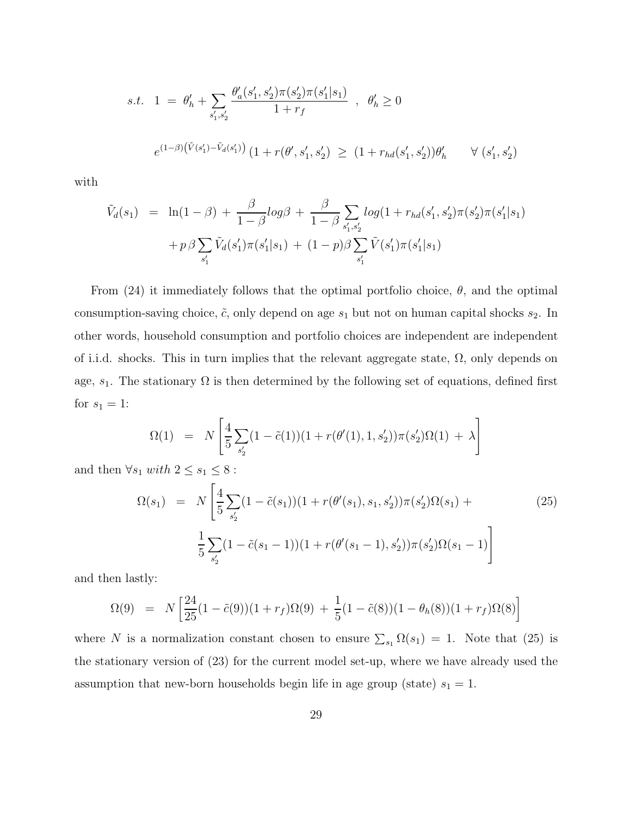$$
s.t. \quad 1 \ = \ \theta'_h + \sum_{s'_1, s'_2} \frac{\theta'_a(s'_1, s'_2) \pi(s'_2) \pi(s'_1|s_1)}{1 + r_f} \quad , \ \ \theta'_h \ge 0
$$
\n
$$
e^{(1-\beta)\left(\tilde{V}(s'_1) - \tilde{V}_d(s'_1)\right)} \left(1 + r(\theta', s'_1, s'_2) \right) \ge \left(1 + r_{hd}(s'_1, s'_2)\right) \theta'_h \qquad \forall \ (s'_1, s'_2)
$$

with

$$
\tilde{V}_d(s_1) = \ln(1-\beta) + \frac{\beta}{1-\beta} log\beta + \frac{\beta}{1-\beta} \sum_{s'_1, s'_2} log(1 + r_{hd}(s'_1, s'_2)\pi(s'_1|s_1) + p\beta \sum_{s'_1} \tilde{V}_d(s'_1)\pi(s'_1|s_1) + (1-p)\beta \sum_{s'_1} \tilde{V}(s'_1)\pi(s'_1|s_1)
$$

From  $(24)$  it immediately follows that the optimal portfolio choice,  $\theta$ , and the optimal consumption-saving choice,  $\tilde{c}$ , only depend on age  $s_1$  but not on human capital shocks  $s_2$ . In other words, household consumption and portfolio choices are independent are independent of i.i.d. shocks. This in turn implies that the relevant aggregate state,  $\Omega$ , only depends on age,  $s_1$ . The stationary  $\Omega$  is then determined by the following set of equations, defined first for  $s_1 = 1$ :

$$
\Omega(1) \;\; = \;\; N \left[ \frac{4}{5} \sum_{s_2'} (1 - \tilde{c}(1)) (1 + r(\theta'(1), 1, s_2')) \pi(s_2') \Omega(1) \; + \; \lambda \right]
$$

and then  $\forall s_1 \; with \; 2 \leq s_1 \leq 8$  :

$$
\Omega(s_1) = N \left[ \frac{4}{5} \sum_{s'_2} (1 - \tilde{c}(s_1)) (1 + r(\theta'(s_1), s_1, s'_2)) \pi(s'_2) \Omega(s_1) + \frac{1}{5} \sum_{s'_2} (1 - \tilde{c}(s_1 - 1)) (1 + r(\theta'(s_1 - 1), s'_2)) \pi(s'_2) \Omega(s_1 - 1) \right]
$$
\n(25)

and then lastly:

$$
\Omega(9) = N \left[ \frac{24}{25} (1 - \tilde{c}(9)) (1 + r_f) \Omega(9) + \frac{1}{5} (1 - \tilde{c}(8)) (1 - \theta_h(8)) (1 + r_f) \Omega(8) \right]
$$

where *N* is a normalization constant chosen to ensure  $\sum_{s_1} \Omega(s_1) = 1$ . Note that (25) is the stationary version of (23) for the current model set-up, where we have already used the assumption that new-born households begin life in age group (state)  $s_1 = 1$ .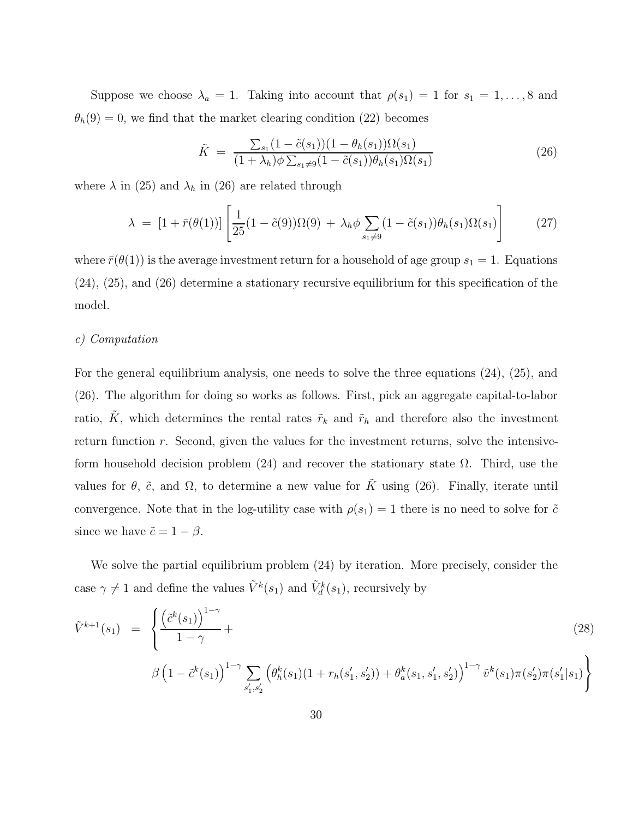Suppose we choose  $\lambda_a = 1$ . Taking into account that  $\rho(s_1) = 1$  for  $s_1 = 1, \ldots, 8$  and  $\theta_h(9) = 0$ , we find that the market clearing condition (22) becomes

$$
\tilde{K} = \frac{\sum_{s_1} (1 - \tilde{c}(s_1)) (1 - \theta_h(s_1)) \Omega(s_1)}{(1 + \lambda_h) \phi \sum_{s_1 \neq 9} (1 - \tilde{c}(s_1)) \theta_h(s_1) \Omega(s_1)}
$$
\n(26)

where  $\lambda$  in (25) and  $\lambda_h$  in (26) are related through

$$
\lambda = [1 + \bar{r}(\theta(1))] \left[ \frac{1}{25} (1 - \tilde{c}(9)) \Omega(9) + \lambda_h \phi \sum_{s_1 \neq 9} (1 - \tilde{c}(s_1)) \theta_h(s_1) \Omega(s_1) \right]
$$
(27)

where  $\bar{r}(\theta(1))$  is the average investment return for a household of age group  $s_1 = 1$ . Equations (24), (25), and (26) determine a stationary recursive equilibrium for this specification of the model.

#### *c) Computation*

For the general equilibrium analysis, one needs to solve the three equations (24), (25), and (26). The algorithm for doing so works as follows. First, pick an aggregate capital-to-labor ratio,  $\tilde{K}$ , which determines the rental rates  $\tilde{r}_k$  and  $\tilde{r}_h$  and therefore also the investment return function *r*. Second, given the values for the investment returns, solve the intensiveform household decision problem (24) and recover the stationary state  $\Omega$ . Third, use the values for  $\theta$ ,  $\tilde{c}$ , and  $\Omega$ , to determine a new value for  $\tilde{K}$  using (26). Finally, iterate until convergence. Note that in the log-utility case with  $\rho(s_1) = 1$  there is no need to solve for  $\tilde{c}$ since we have  $\tilde{c} = 1 - \beta$ .

We solve the partial equilibrium problem (24) by iteration. More precisely, consider the case  $\gamma \neq 1$  and define the values  $\tilde{V}^k(s_1)$  and  $\tilde{V}^k_d(s_1)$ , recursively by

$$
\tilde{V}^{k+1}(s_1) = \left\{ \frac{\left(\tilde{c}^k(s_1)\right)^{1-\gamma}}{1-\gamma} + \left(\beta \left(1 - \tilde{c}^k(s_1)\right)^{1-\gamma} \sum_{s'_1, s'_2} \left(\theta^k_h(s_1)(1 + r_h(s'_1, s'_2)) + \theta^k_a(s_1, s'_1, s'_2)\right)^{1-\gamma} \tilde{v}^k(s_1)\pi(s'_2)\pi(s'_1|s_1) \right\}
$$
\n(28)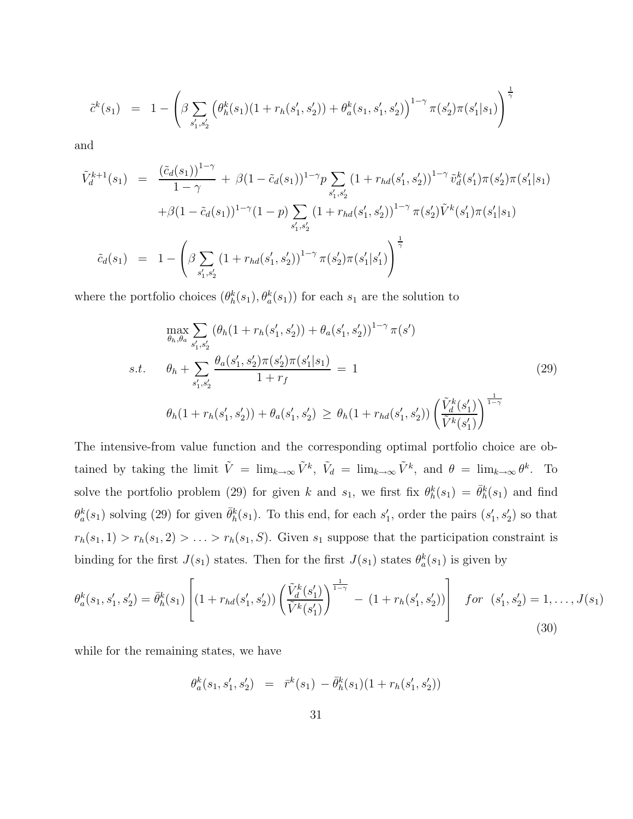$$
\tilde{c}^k(s_1) = 1 - \left(\beta \sum_{s'_1, s'_2} \left(\theta^k_h(s_1)(1 + r_h(s'_1, s'_2)) + \theta^k_a(s_1, s'_1, s'_2)\right)^{1-\gamma} \pi(s'_2) \pi(s'_1|s_1)\right)^{\frac{1}{\gamma}}
$$

and

$$
\tilde{V}_{d}^{k+1}(s_{1}) = \frac{(\tilde{c}_{d}(s_{1}))^{1-\gamma}}{1-\gamma} + \beta(1-\tilde{c}_{d}(s_{1}))^{1-\gamma} p \sum_{s'_{1},s'_{2}} (1+r_{hd}(s'_{1},s'_{2}))^{1-\gamma} \tilde{v}_{d}^{k}(s'_{1}) \pi(s'_{2}) \pi(s'_{1}|s_{1}) \n+ \beta(1-\tilde{c}_{d}(s_{1}))^{1-\gamma} (1-p) \sum_{s'_{1},s'_{2}} (1+r_{hd}(s'_{1},s'_{2}))^{1-\gamma} \pi(s'_{2}) \tilde{V}^{k}(s'_{1}) \pi(s'_{1}|s_{1}) \n\tilde{c}_{d}(s_{1}) = 1 - \left(\beta \sum_{s'_{1},s'_{2}} (1+r_{hd}(s'_{1},s'_{2}))^{1-\gamma} \pi(s'_{2}) \pi(s'_{1}|s'_{1})\right)^{\frac{1}{\gamma}}
$$

where the portfolio choices  $(\theta_h^k(s_1), \theta_a^k(s_1))$  for each  $s_1$  are the solution to

$$
\max_{\theta_h, \theta_a} \sum_{s'_1, s'_2} (\theta_h (1 + r_h(s'_1, s'_2)) + \theta_a(s'_1, s'_2))^{1-\gamma} \pi(s')
$$
\n
$$
s.t. \quad \theta_h + \sum_{s'_1, s'_2} \frac{\theta_a(s'_1, s'_2)\pi(s'_2)\pi(s'_1|s_1)}{1 + r_f} = 1
$$
\n
$$
\theta_h (1 + r_h(s'_1, s'_2)) + \theta_a(s'_1, s'_2) \ge \theta_h (1 + r_{hd}(s'_1, s'_2)) \left(\frac{\tilde{V}_d^k(s'_1)}{\tilde{V}^k(s'_1)}\right)^{\frac{1}{1-\gamma}}
$$
\n
$$
(29)
$$

The intensive-from value function and the corresponding optimal portfolio choice are obtained by taking the limit  $\tilde{V} = \lim_{k \to \infty} \tilde{V}^k$ ,  $\tilde{V}_d = \lim_{k \to \infty} \tilde{V}^k$ , and  $\theta = \lim_{k \to \infty} \theta^k$ . To solve the portfolio problem (29) for given *k* and  $s_1$ , we first fix  $\theta_h^k(s_1) = \bar{\theta}_h^k(s_1)$  and find  $\theta_a^k(s_1)$  solving (29) for given  $\bar{\theta}_h^k(s_1)$ . To this end, for each  $s_1'$ , order the pairs  $(s_1', s_2')$  so that  $r_h(s_1, 1) > r_h(s_1, 2) > \ldots > r_h(s_1, S)$ . Given  $s_1$  suppose that the participation constraint is binding for the first  $J(s_1)$  states. Then for the first  $J(s_1)$  states  $\theta_a^k(s_1)$  is given by

$$
\theta_a^k(s_1, s_1', s_2') = \bar{\theta}_h^k(s_1) \left[ (1 + r_{hd}(s_1', s_2')) \left( \frac{\tilde{V}_d^k(s_1')}{\tilde{V}^k(s_1')} \right)^{\frac{1}{1 - \gamma}} - (1 + r_h(s_1', s_2')) \right] \quad \text{for} \quad (s_1', s_2') = 1, \dots, J(s_1)
$$
\n(30)

while for the remaining states, we have

$$
\theta_a^k(s_1, s_1', s_2') = \bar{r}^k(s_1) - \bar{\theta}_h^k(s_1)(1 + r_h(s_1', s_2'))
$$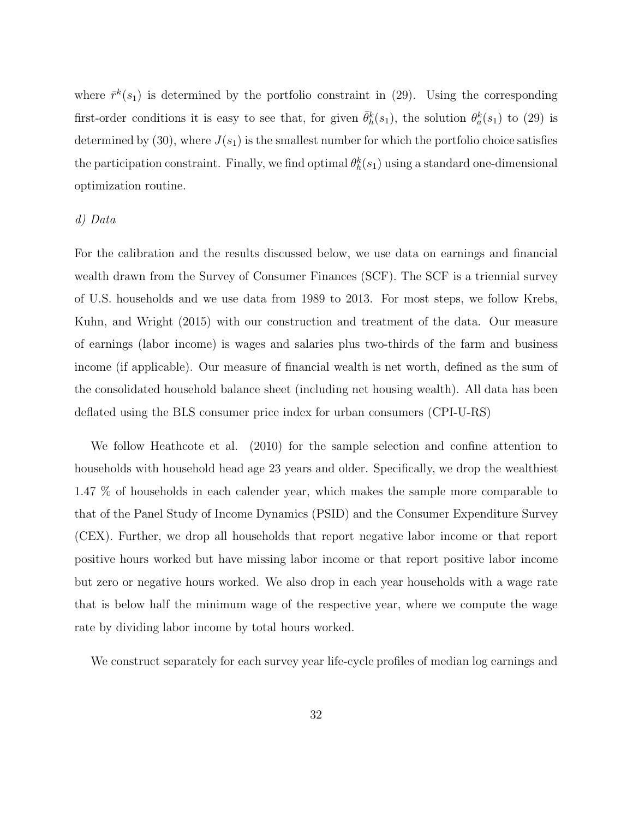where  $\bar{r}^k(s_1)$  is determined by the portfolio constraint in (29). Using the corresponding first-order conditions it is easy to see that, for given  $\bar{\theta}_h^k(s_1)$ , the solution  $\theta_a^k(s_1)$  to (29) is determined by  $(30)$ , where  $J(s_1)$  is the smallest number for which the portfolio choice satisfies the participation constraint. Finally, we find optimal  $\theta_h^k(s_1)$  using a standard one-dimensional optimization routine.

#### *d) Data*

For the calibration and the results discussed below, we use data on earnings and financial wealth drawn from the Survey of Consumer Finances (SCF). The SCF is a triennial survey of U.S. households and we use data from 1989 to 2013. For most steps, we follow Krebs, Kuhn, and Wright (2015) with our construction and treatment of the data. Our measure of earnings (labor income) is wages and salaries plus two-thirds of the farm and business income (if applicable). Our measure of financial wealth is net worth, defined as the sum of the consolidated household balance sheet (including net housing wealth). All data has been deflated using the BLS consumer price index for urban consumers (CPI-U-RS)

We follow Heathcote et al. (2010) for the sample selection and confine attention to households with household head age 23 years and older. Specifically, we drop the wealthiest 1.47 % of households in each calender year, which makes the sample more comparable to that of the Panel Study of Income Dynamics (PSID) and the Consumer Expenditure Survey (CEX). Further, we drop all households that report negative labor income or that report positive hours worked but have missing labor income or that report positive labor income but zero or negative hours worked. We also drop in each year households with a wage rate that is below half the minimum wage of the respective year, where we compute the wage rate by dividing labor income by total hours worked.

We construct separately for each survey year life-cycle profiles of median log earnings and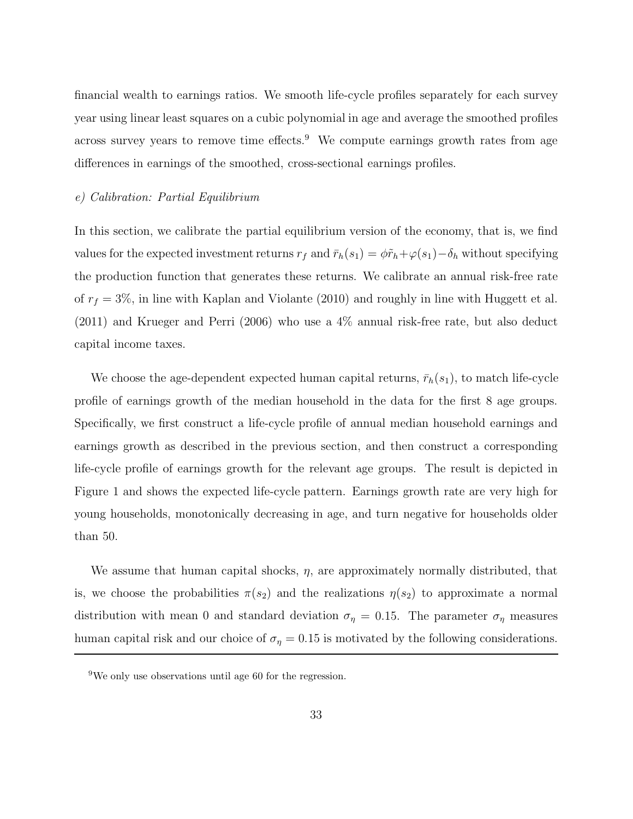financial wealth to earnings ratios. We smooth life-cycle profiles separately for each survey year using linear least squares on a cubic polynomial in age and average the smoothed profiles across survey years to remove time effects.<sup>9</sup> We compute earnings growth rates from age differences in earnings of the smoothed, cross-sectional earnings profiles.

#### *e) Calibration: Partial Equilibrium*

In this section, we calibrate the partial equilibrium version of the economy, that is, we find values for the expected investment returns  $r_f$  and  $\bar{r}_h(s_1) = \phi \tilde{r}_h + \varphi(s_1) - \delta_h$  without specifying the production function that generates these returns. We calibrate an annual risk-free rate of  $r_f = 3\%$ , in line with Kaplan and Violante (2010) and roughly in line with Huggett et al. (2011) and Krueger and Perri (2006) who use a 4% annual risk-free rate, but also deduct capital income taxes.

We choose the age-dependent expected human capital returns,  $\bar{r}_h(s_1)$ , to match life-cycle profile of earnings growth of the median household in the data for the first 8 age groups. Specifically, we first construct a life-cycle profile of annual median household earnings and earnings growth as described in the previous section, and then construct a corresponding life-cycle profile of earnings growth for the relevant age groups. The result is depicted in Figure 1 and shows the expected life-cycle pattern. Earnings growth rate are very high for young households, monotonically decreasing in age, and turn negative for households older than 50.

We assume that human capital shocks, *η*, are approximately normally distributed, that is, we choose the probabilities  $\pi(s_2)$  and the realizations  $\eta(s_2)$  to approximate a normal distribution with mean 0 and standard deviation  $\sigma_{\eta} = 0.15$ . The parameter  $\sigma_{\eta}$  measures human capital risk and our choice of  $\sigma_{\eta} = 0.15$  is motivated by the following considerations.

<sup>9</sup>We only use observations until age 60 for the regression.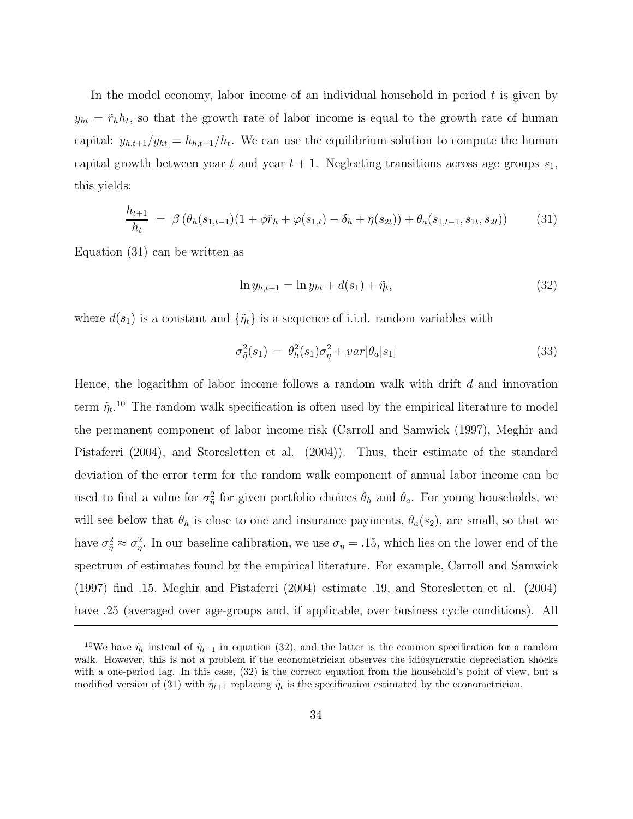In the model economy, labor income of an individual household in period *t* is given by  $y_{ht} = \tilde{r}_h h_t$ , so that the growth rate of labor income is equal to the growth rate of human capital:  $y_{h,t+1}/y_{ht} = h_{h,t+1}/h_t$ . We can use the equilibrium solution to compute the human capital growth between year  $t$  and year  $t + 1$ . Neglecting transitions across age groups  $s_1$ , this yields:

$$
\frac{h_{t+1}}{h_t} = \beta \left( \theta_h(s_{1,t-1})(1 + \phi \tilde{r}_h + \varphi(s_{1,t}) - \delta_h + \eta(s_{2t})) + \theta_a(s_{1,t-1}, s_{1t}, s_{2t}) \right) \tag{31}
$$

Equation (31) can be written as

$$
\ln y_{h,t+1} = \ln y_{ht} + d(s_1) + \tilde{\eta}_t,\tag{32}
$$

where  $d(s_1)$  is a constant and  $\{\tilde{\eta}_t\}$  is a sequence of i.i.d. random variables with

$$
\sigma_{\tilde{\eta}}^2(s_1) = \theta_h^2(s_1)\sigma_{\eta}^2 + var[\theta_a|s_1] \tag{33}
$$

Hence, the logarithm of labor income follows a random walk with drift *d* and innovation term  $\tilde{\eta}_t$ <sup>10</sup> The random walk specification is often used by the empirical literature to model the permanent component of labor income risk (Carroll and Samwick (1997), Meghir and Pistaferri (2004), and Storesletten et al. (2004)). Thus, their estimate of the standard deviation of the error term for the random walk component of annual labor income can be used to find a value for  $\sigma_{\tilde{\eta}}^2$  for given portfolio choices  $\theta_h$  and  $\theta_a$ . For young households, we will see below that  $\theta_h$  is close to one and insurance payments,  $\theta_a(s_2)$ , are small, so that we have  $\sigma_{\tilde{\eta}}^2 \approx \sigma_{\eta}^2$ . In our baseline calibration, we use  $\sigma_{\eta} = .15$ , which lies on the lower end of the spectrum of estimates found by the empirical literature. For example, Carroll and Samwick (1997) find *.*15, Meghir and Pistaferri (2004) estimate *.*19, and Storesletten et al. (2004) have .25 (averaged over age-groups and, if applicable, over business cycle conditions). All

<sup>&</sup>lt;sup>10</sup>We have  $\tilde{\eta}_t$  instead of  $\tilde{\eta}_{t+1}$  in equation (32), and the latter is the common specification for a random walk. However, this is not a problem if the econometrician observes the idiosyncratic depreciation shocks with a one-period lag. In this case, (32) is the correct equation from the household's point of view, but a modified version of (31) with  $\tilde{\eta}_{t+1}$  replacing  $\tilde{\eta}_t$  is the specification estimated by the econometrician.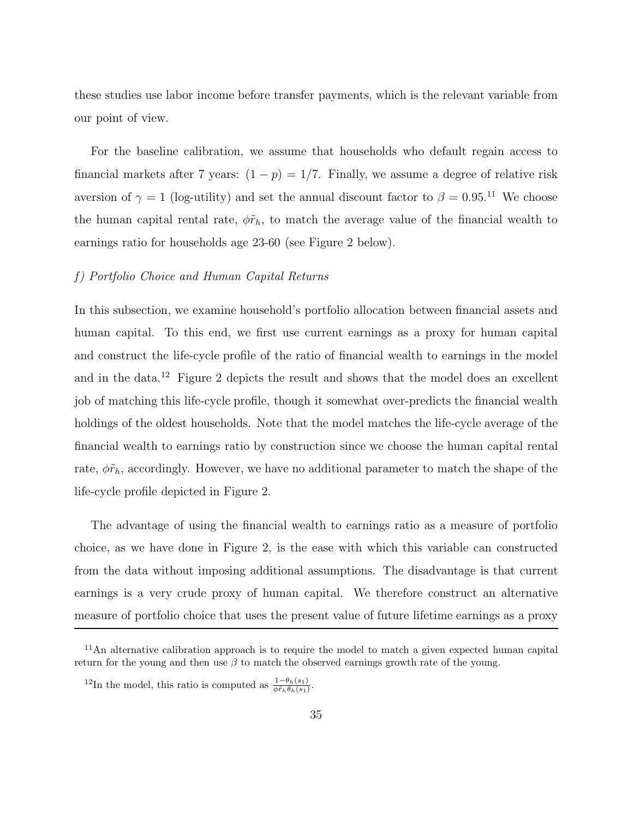these studies use labor income before transfer payments, which is the relevant variable from our point of view.

For the baseline calibration, we assume that households who default regain access to financial markets after 7 years:  $(1 - p) = 1/7$ . Finally, we assume a degree of relative risk aversion of  $\gamma = 1$  (log-utility) and set the annual discount factor to  $\beta = 0.95$ .<sup>11</sup> We choose the human capital rental rate,  $\phi \tilde{r}_h$ , to match the average value of the financial wealth to earnings ratio for households age 23-60 (see Figure 2 below).

#### *f) Portfolio Choice and Human Capital Returns*

In this subsection, we examine household's portfolio allocation between financial assets and human capital. To this end, we first use current earnings as a proxy for human capital and construct the life-cycle profile of the ratio of financial wealth to earnings in the model and in the data.<sup>12</sup> Figure 2 depicts the result and shows that the model does an excellent job of matching this life-cycle profile, though it somewhat over-predicts the financial wealth holdings of the oldest households. Note that the model matches the life-cycle average of the financial wealth to earnings ratio by construction since we choose the human capital rental rate,  $\phi \tilde{r}_h$ , accordingly. However, we have no additional parameter to match the shape of the life-cycle profile depicted in Figure 2.

The advantage of using the financial wealth to earnings ratio as a measure of portfolio choice, as we have done in Figure 2, is the ease with which this variable can constructed from the data without imposing additional assumptions. The disadvantage is that current earnings is a very crude proxy of human capital. We therefore construct an alternative measure of portfolio choice that uses the present value of future lifetime earnings as a proxy

 $11$ An alternative calibration approach is to require the model to match a given expected human capital return for the young and then use  $\beta$  to match the observed earnings growth rate of the young.

<sup>&</sup>lt;sup>12</sup>In the model, this ratio is computed as  $\frac{1-\theta_h(s_1)}{\phi\tilde{r}_h\theta_h(s_1)}$ .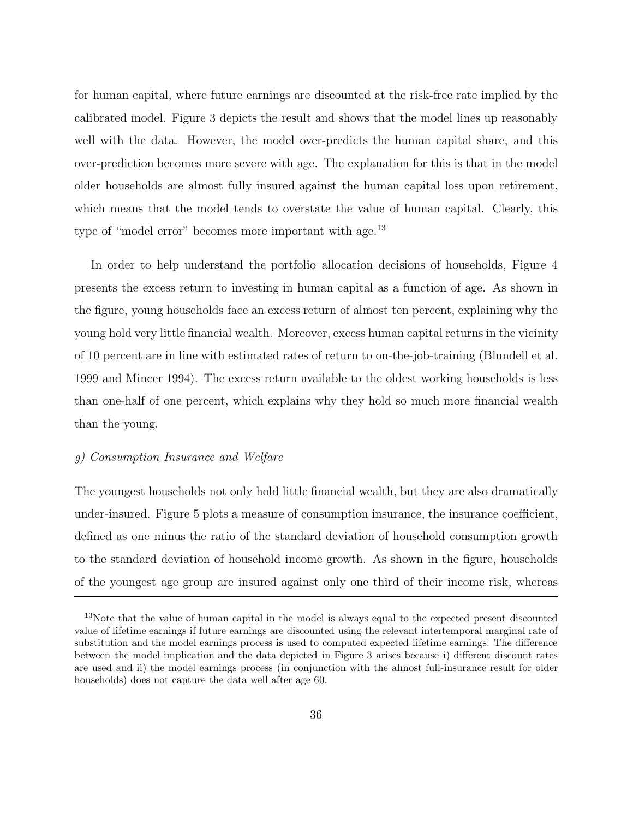for human capital, where future earnings are discounted at the risk-free rate implied by the calibrated model. Figure 3 depicts the result and shows that the model lines up reasonably well with the data. However, the model over-predicts the human capital share, and this over-prediction becomes more severe with age. The explanation for this is that in the model older households are almost fully insured against the human capital loss upon retirement, which means that the model tends to overstate the value of human capital. Clearly, this type of "model error" becomes more important with age.<sup>13</sup>

In order to help understand the portfolio allocation decisions of households, Figure 4 presents the excess return to investing in human capital as a function of age. As shown in the figure, young households face an excess return of almost ten percent, explaining why the young hold very little financial wealth. Moreover, excess human capital returns in the vicinity of 10 percent are in line with estimated rates of return to on-the-job-training (Blundell et al. 1999 and Mincer 1994). The excess return available to the oldest working households is less than one-half of one percent, which explains why they hold so much more financial wealth than the young.

#### *g) Consumption Insurance and Welfare*

The youngest households not only hold little financial wealth, but they are also dramatically under-insured. Figure 5 plots a measure of consumption insurance, the insurance coefficient, defined as one minus the ratio of the standard deviation of household consumption growth to the standard deviation of household income growth. As shown in the figure, households of the youngest age group are insured against only one third of their income risk, whereas

<sup>&</sup>lt;sup>13</sup>Note that the value of human capital in the model is always equal to the expected present discounted value of lifetime earnings if future earnings are discounted using the relevant intertemporal marginal rate of substitution and the model earnings process is used to computed expected lifetime earnings. The difference between the model implication and the data depicted in Figure 3 arises because i) different discount rates are used and ii) the model earnings process (in conjunction with the almost full-insurance result for older households) does not capture the data well after age 60.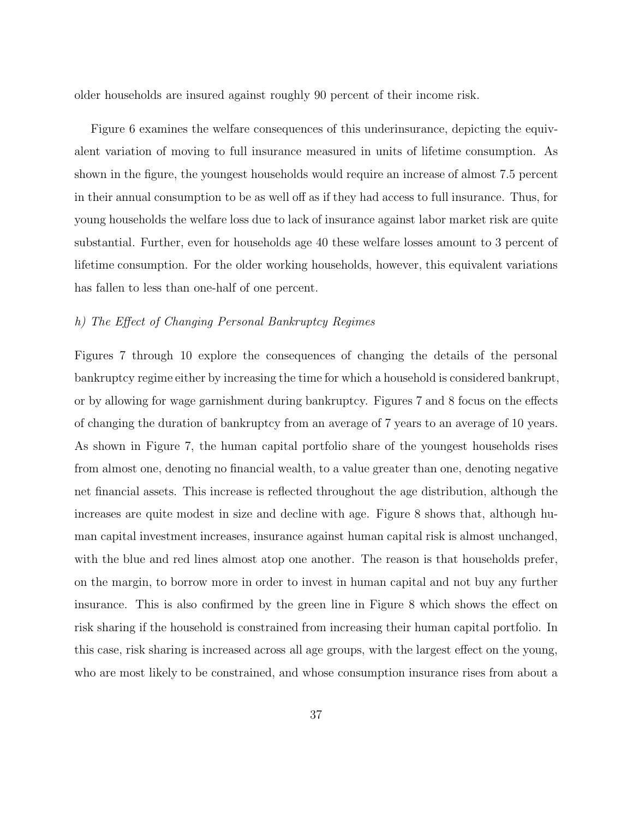older households are insured against roughly 90 percent of their income risk.

Figure 6 examines the welfare consequences of this underinsurance, depicting the equivalent variation of moving to full insurance measured in units of lifetime consumption. As shown in the figure, the youngest households would require an increase of almost 7*.*5 percent in their annual consumption to be as well off as if they had access to full insurance. Thus, for young households the welfare loss due to lack of insurance against labor market risk are quite substantial. Further, even for households age 40 these welfare losses amount to 3 percent of lifetime consumption. For the older working households, however, this equivalent variations has fallen to less than one-half of one percent.

#### *h) The Effect of Changing Personal Bankruptcy Regimes*

Figures 7 through 10 explore the consequences of changing the details of the personal bankruptcy regime either by increasing the time for which a household is considered bankrupt, or by allowing for wage garnishment during bankruptcy. Figures 7 and 8 focus on the effects of changing the duration of bankruptcy from an average of 7 years to an average of 10 years. As shown in Figure 7, the human capital portfolio share of the youngest households rises from almost one, denoting no financial wealth, to a value greater than one, denoting negative net financial assets. This increase is reflected throughout the age distribution, although the increases are quite modest in size and decline with age. Figure 8 shows that, although human capital investment increases, insurance against human capital risk is almost unchanged, with the blue and red lines almost atop one another. The reason is that households prefer, on the margin, to borrow more in order to invest in human capital and not buy any further insurance. This is also confirmed by the green line in Figure 8 which shows the effect on risk sharing if the household is constrained from increasing their human capital portfolio. In this case, risk sharing is increased across all age groups, with the largest effect on the young, who are most likely to be constrained, and whose consumption insurance rises from about a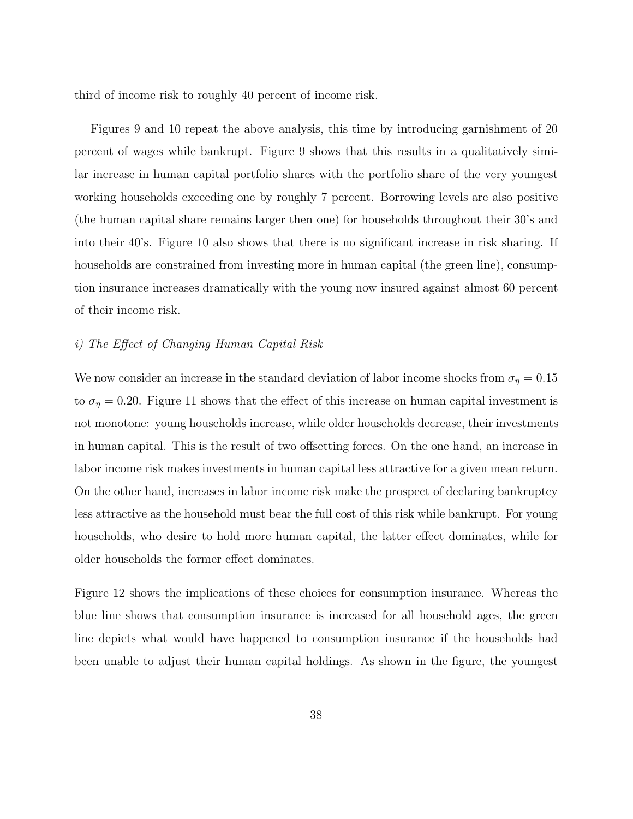third of income risk to roughly 40 percent of income risk.

Figures 9 and 10 repeat the above analysis, this time by introducing garnishment of 20 percent of wages while bankrupt. Figure 9 shows that this results in a qualitatively similar increase in human capital portfolio shares with the portfolio share of the very youngest working households exceeding one by roughly 7 percent. Borrowing levels are also positive (the human capital share remains larger then one) for households throughout their 30's and into their 40's. Figure 10 also shows that there is no significant increase in risk sharing. If households are constrained from investing more in human capital (the green line), consumption insurance increases dramatically with the young now insured against almost 60 percent of their income risk.

#### *i) The Effect of Changing Human Capital Risk*

We now consider an increase in the standard deviation of labor income shocks from  $\sigma_{\eta} = 0.15$ to  $\sigma_{\eta} = 0.20$ . Figure 11 shows that the effect of this increase on human capital investment is not monotone: young households increase, while older households decrease, their investments in human capital. This is the result of two offsetting forces. On the one hand, an increase in labor income risk makes investments in human capital less attractive for a given mean return. On the other hand, increases in labor income risk make the prospect of declaring bankruptcy less attractive as the household must bear the full cost of this risk while bankrupt. For young households, who desire to hold more human capital, the latter effect dominates, while for older households the former effect dominates.

Figure 12 shows the implications of these choices for consumption insurance. Whereas the blue line shows that consumption insurance is increased for all household ages, the green line depicts what would have happened to consumption insurance if the households had been unable to adjust their human capital holdings. As shown in the figure, the youngest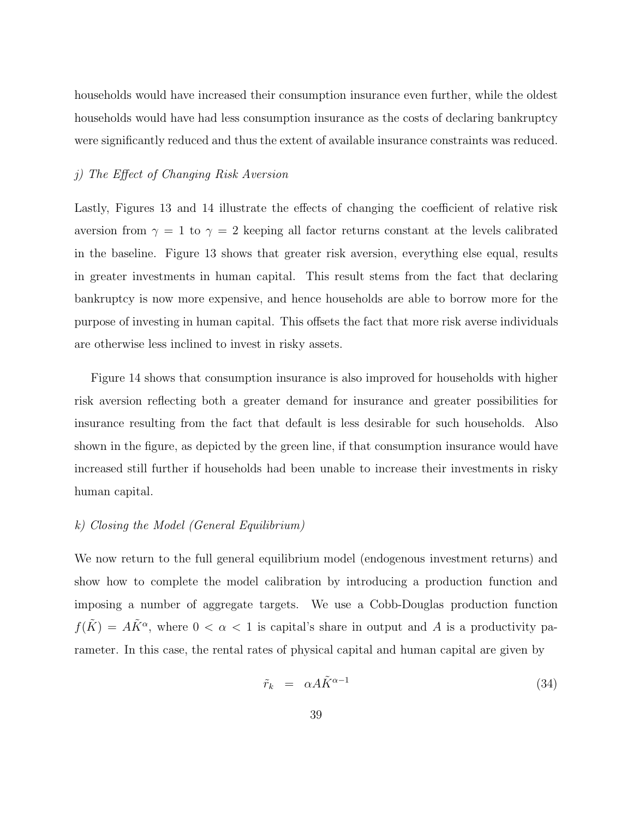households would have increased their consumption insurance even further, while the oldest households would have had less consumption insurance as the costs of declaring bankruptcy were significantly reduced and thus the extent of available insurance constraints was reduced.

#### *j) The Effect of Changing Risk Aversion*

Lastly, Figures 13 and 14 illustrate the effects of changing the coefficient of relative risk aversion from  $\gamma = 1$  to  $\gamma = 2$  keeping all factor returns constant at the levels calibrated in the baseline. Figure 13 shows that greater risk aversion, everything else equal, results in greater investments in human capital. This result stems from the fact that declaring bankruptcy is now more expensive, and hence households are able to borrow more for the purpose of investing in human capital. This offsets the fact that more risk averse individuals are otherwise less inclined to invest in risky assets.

Figure 14 shows that consumption insurance is also improved for households with higher risk aversion reflecting both a greater demand for insurance and greater possibilities for insurance resulting from the fact that default is less desirable for such households. Also shown in the figure, as depicted by the green line, if that consumption insurance would have increased still further if households had been unable to increase their investments in risky human capital.

#### *k) Closing the Model (General Equilibrium)*

We now return to the full general equilibrium model (endogenous investment returns) and show how to complete the model calibration by introducing a production function and imposing a number of aggregate targets. We use a Cobb-Douglas production function  $f(\tilde{K}) = A\tilde{K}^{\alpha}$ , where  $0 < \alpha < 1$  is capital's share in output and A is a productivity parameter. In this case, the rental rates of physical capital and human capital are given by

$$
\tilde{r}_k = \alpha A \tilde{K}^{\alpha - 1} \tag{34}
$$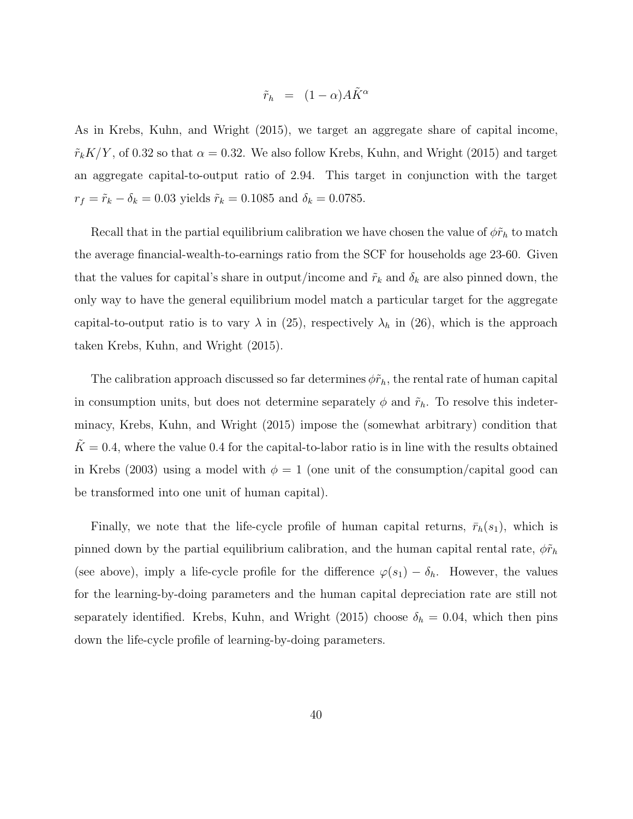$$
\tilde{r}_h = (1 - \alpha)A\tilde{K}^{\alpha}
$$

As in Krebs, Kuhn, and Wright (2015), we target an aggregate share of capital income,  $\tilde{r}_k K/Y$ , of 0.32 so that  $\alpha = 0.32$ . We also follow Krebs, Kuhn, and Wright (2015) and target an aggregate capital-to-output ratio of 2*.*94. This target in conjunction with the target  $r_f = \tilde{r}_k - \delta_k = 0.03$  yields  $\tilde{r}_k = 0.1085$  and  $\delta_k = 0.0785$ .

Recall that in the partial equilibrium calibration we have chosen the value of  $\phi \tilde{r}_h$  to match the average financial-wealth-to-earnings ratio from the SCF for households age 23-60. Given that the values for capital's share in output/income and  $\tilde{r}_k$  and  $\delta_k$  are also pinned down, the only way to have the general equilibrium model match a particular target for the aggregate capital-to-output ratio is to vary  $\lambda$  in (25), respectively  $\lambda_h$  in (26), which is the approach taken Krebs, Kuhn, and Wright (2015).

The calibration approach discussed so far determines  $\phi \tilde{r}_h$ , the rental rate of human capital in consumption units, but does not determine separately  $\phi$  and  $\tilde{r}_h$ . To resolve this indeterminacy, Krebs, Kuhn, and Wright (2015) impose the (somewhat arbitrary) condition that  $K = 0.4$ , where the value 0.4 for the capital-to-labor ratio is in line with the results obtained in Krebs (2003) using a model with  $\phi = 1$  (one unit of the consumption/capital good can be transformed into one unit of human capital).

Finally, we note that the life-cycle profile of human capital returns,  $\bar{r}_h(s_1)$ , which is pinned down by the partial equilibrium calibration, and the human capital rental rate,  $\phi \tilde{r}_h$ (see above), imply a life-cycle profile for the difference  $\varphi(s_1) - \delta_h$ . However, the values for the learning-by-doing parameters and the human capital depreciation rate are still not separately identified. Krebs, Kuhn, and Wright (2015) choose  $\delta_h = 0.04$ , which then pins down the life-cycle profile of learning-by-doing parameters.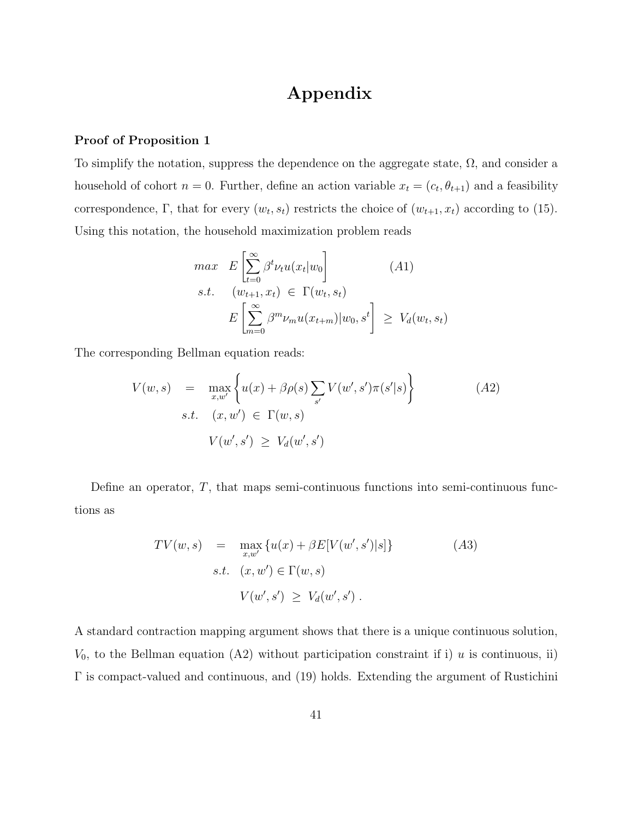# **Appendix**

#### **Proof of Proposition 1**

To simplify the notation, suppress the dependence on the aggregate state,  $\Omega$ , and consider a household of cohort  $n = 0$ . Further, define an action variable  $x_t = (c_t, \theta_{t+1})$  and a feasibility correspondence, Γ, that for every  $(w_t, s_t)$  restricts the choice of  $(w_{t+1}, x_t)$  according to (15). Using this notation, the household maximization problem reads

$$
\begin{aligned}\n\max \quad & E\left[\sum_{t=0}^{\infty} \beta^t \nu_t u(x_t | w_0)\right] \quad (A1) \\
\text{s.t.} \quad & (w_{t+1}, x_t) \in \Gamma(w_t, s_t) \\
& E\left[\sum_{m=0}^{\infty} \beta^m \nu_m u(x_{t+m}) | w_0, s^t\right] \ge V_d(w_t, s_t)\n\end{aligned}
$$

The corresponding Bellman equation reads:

$$
V(w, s) = \max_{x, w'} \left\{ u(x) + \beta \rho(s) \sum_{s'} V(w', s') \pi(s'|s) \right\}
$$
  
s.t.  $(x, w') \in \Gamma(w, s)$   

$$
V(w', s') \ge V_d(w', s')
$$
 (A2)

Define an operator, *T*, that maps semi-continuous functions into semi-continuous functions as

$$
TV(w, s) = \max_{x, w'} \{u(x) + \beta E[V(w', s')|s]\}
$$
\n
$$
s.t. \quad (x, w') \in \Gamma(w, s)
$$
\n
$$
V(w', s') \geq V_d(w', s').
$$
\n(A3)

A standard contraction mapping argument shows that there is a unique continuous solution,  $V_0$ , to the Bellman equation (A2) without participation constraint if i) *u* is continuous, ii) Γ is compact-valued and continuous, and (19) holds. Extending the argument of Rustichini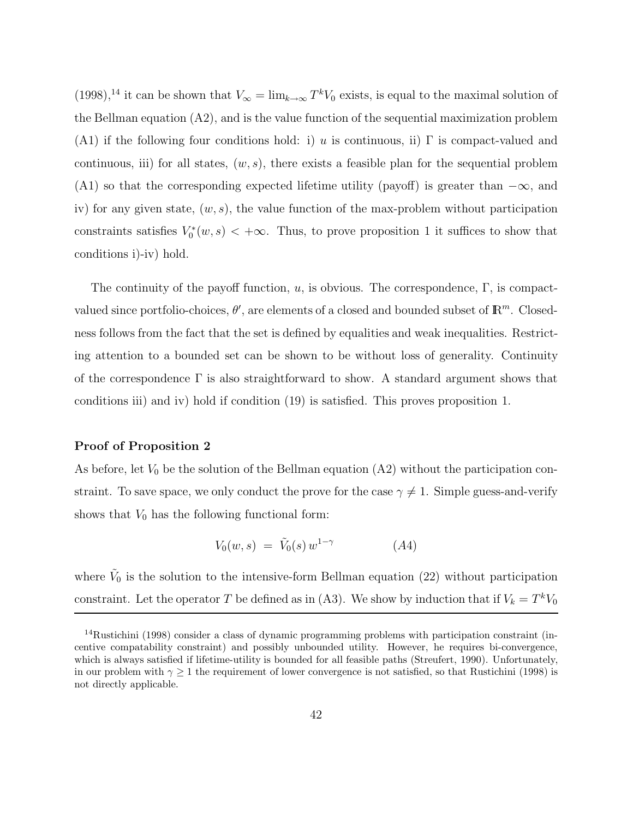$(1998)$ ,<sup>14</sup> it can be shown that  $V_{\infty} = \lim_{k \to \infty} T^k V_0$  exists, is equal to the maximal solution of the Bellman equation (A2), and is the value function of the sequential maximization problem (A1) if the following four conditions hold: i) *u* is continuous, ii)  $\Gamma$  is compact-valued and continuous, iii) for all states,  $(w, s)$ , there exists a feasible plan for the sequential problem (A1) so that the corresponding expected lifetime utility (payoff) is greater than  $-\infty$ , and iv) for any given state, (*w, s*), the value function of the max-problem without participation constraints satisfies  $V_0^*(w, s) < +\infty$ . Thus, to prove proposition 1 it suffices to show that conditions i)-iv) hold.

The continuity of the payoff function, *u*, is obvious. The correspondence, Γ, is compactvalued since portfolio-choices,  $\theta'$ , are elements of a closed and bounded subset of  $\mathbb{R}^m$ . Closedness follows from the fact that the set is defined by equalities and weak inequalities. Restricting attention to a bounded set can be shown to be without loss of generality. Continuity of the correspondence  $\Gamma$  is also straightforward to show. A standard argument shows that conditions iii) and iv) hold if condition (19) is satisfied. This proves proposition 1.

#### **Proof of Proposition 2**

As before, let  $V_0$  be the solution of the Bellman equation (A2) without the participation constraint. To save space, we only conduct the prove for the case  $\gamma \neq 1$ . Simple guess-and-verify shows that  $V_0$  has the following functional form:

$$
V_0(w, s) = \tilde{V}_0(s) w^{1-\gamma} \tag{A4}
$$

where  $\tilde{V}_0$  is the solution to the intensive-form Bellman equation (22) without participation constraint. Let the operator *T* be defined as in (A3). We show by induction that if  $V_k = T^k V_0$ 

<sup>&</sup>lt;sup>14</sup>Rustichini (1998) consider a class of dynamic programming problems with participation constraint (incentive compatability constraint) and possibly unbounded utility. However, he requires bi-convergence, which is always satisfied if lifetime-utility is bounded for all feasible paths (Streufert, 1990). Unfortunately, in our problem with  $\gamma \geq 1$  the requirement of lower convergence is not satisfied, so that Rustichini (1998) is not directly applicable.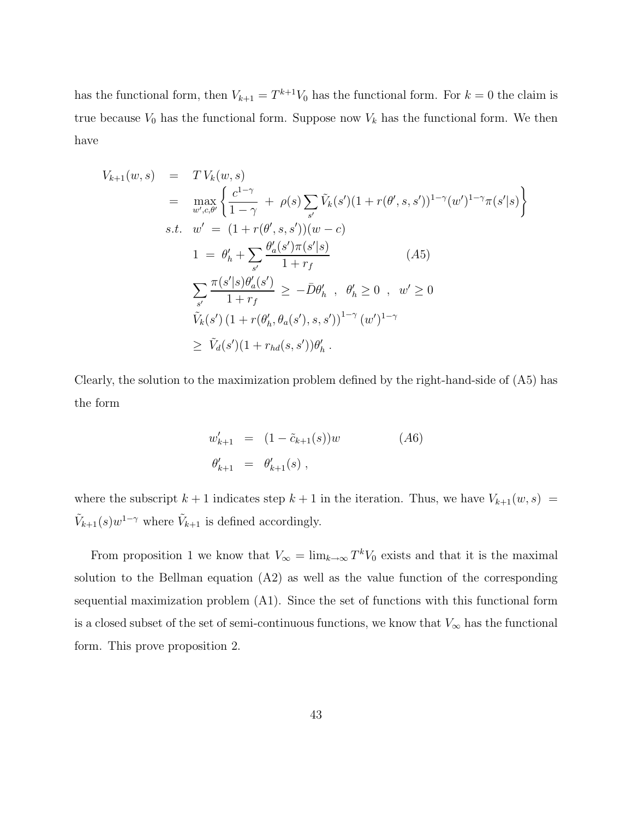has the functional form, then  $V_{k+1} = T^{k+1}V_0$  has the functional form. For  $k = 0$  the claim is true because  $V_0$  has the functional form. Suppose now  $V_k$  has the functional form. We then have

$$
V_{k+1}(w, s) = T V_k(w, s)
$$
  
\n
$$
= \max_{w',c,\theta'} \left\{ \frac{c^{1-\gamma}}{1-\gamma} + \rho(s) \sum_{s'} \tilde{V}_k(s') (1 + r(\theta', s, s'))^{1-\gamma} (w')^{1-\gamma} \pi(s' | s) \right\}
$$
  
\ns.t.  $w' = (1 + r(\theta', s, s')) (w - c)$   
\n
$$
1 = \theta'_h + \sum_{s'} \frac{\theta'_a(s') \pi(s' | s)}{1 + r_f} \qquad (A5)
$$
  
\n
$$
\sum_{s'} \frac{\pi(s' | s) \theta'_a(s')}{1 + r_f} \ge -\bar{D} \theta'_h , \quad \theta'_h \ge 0 , \quad w' \ge 0
$$
  
\n
$$
\tilde{V}_k(s') (1 + r(\theta'_h, \theta_a(s'), s, s'))^{1-\gamma} (w')^{1-\gamma}
$$
  
\n
$$
\ge \tilde{V}_d(s') (1 + r_{hd}(s, s')) \theta'_h .
$$

Clearly, the solution to the maximization problem defined by the right-hand-side of (A5) has the form

$$
w'_{k+1} = (1 - \tilde{c}_{k+1}(s))w
$$
  
\n
$$
\theta'_{k+1} = \theta'_{k+1}(s),
$$
\n
$$
(A6)
$$

where the subscript  $k + 1$  indicates step  $k + 1$  in the iteration. Thus, we have  $V_{k+1}(w, s)$  =  $\tilde{V}_{k+1}(s)w^{1-\gamma}$  where  $\tilde{V}_{k+1}$  is defined accordingly.

From proposition 1 we know that  $V_{\infty} = \lim_{k \to \infty} T^k V_0$  exists and that it is the maximal solution to the Bellman equation (A2) as well as the value function of the corresponding sequential maximization problem (A1). Since the set of functions with this functional form is a closed subset of the set of semi-continuous functions, we know that  $V_{\infty}$  has the functional form. This prove proposition 2.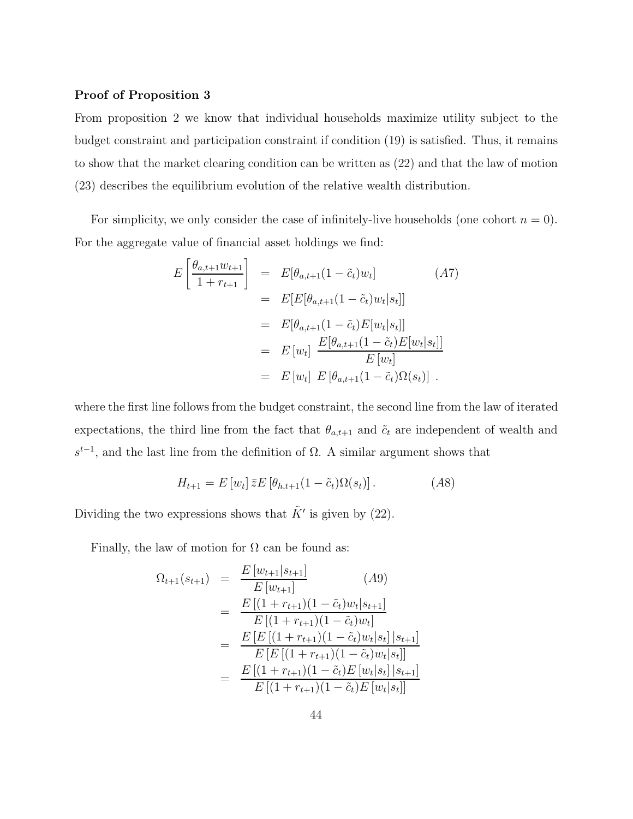#### **Proof of Proposition 3**

From proposition 2 we know that individual households maximize utility subject to the budget constraint and participation constraint if condition (19) is satisfied. Thus, it remains to show that the market clearing condition can be written as (22) and that the law of motion (23) describes the equilibrium evolution of the relative wealth distribution.

For simplicity, we only consider the case of infinitely-live households (one cohort  $n = 0$ ). For the aggregate value of financial asset holdings we find:

$$
E\left[\frac{\theta_{a,t+1}w_{t+1}}{1+r_{t+1}}\right] = E[\theta_{a,t+1}(1-\tilde{c}_t)w_t]
$$
(A7)  

$$
= E[E[\theta_{a,t+1}(1-\tilde{c}_t)w_t|s_t]]
$$
  

$$
= E[\theta_{a,t+1}(1-\tilde{c}_t)E[w_t|s_t]]
$$
  

$$
= E[w_t] \frac{E[\theta_{a,t+1}(1-\tilde{c}_t)E[w_t|s_t]]}{E[w_t]}
$$
  

$$
= E[w_t] E[\theta_{a,t+1}(1-\tilde{c}_t)\Omega(s_t)].
$$

where the first line follows from the budget constraint, the second line from the law of iterated expectations, the third line from the fact that  $\theta_{a,t+1}$  and  $\tilde{c}_t$  are independent of wealth and  $s^{t-1}$ , and the last line from the definition of  $\Omega$ . A similar argument shows that

$$
H_{t+1} = E\left[w_t\right]\bar{z}E\left[\theta_{h,t+1}(1-\tilde{c}_t)\Omega(s_t)\right].\tag{A8}
$$

Dividing the two expressions shows that  $\tilde{K}'$  is given by (22).

Finally, the law of motion for  $\Omega$  can be found as:

$$
\Omega_{t+1}(s_{t+1}) = \frac{E [w_{t+1}|s_{t+1}]}{E [w_{t+1}]} \qquad (A9)
$$
\n
$$
= \frac{E [(1 + r_{t+1})(1 - \tilde{c}_t)w_t|s_{t+1}]}{E [(1 + r_{t+1})(1 - \tilde{c}_t)w_t]}
$$
\n
$$
= \frac{E [E [(1 + r_{t+1})(1 - \tilde{c}_t)w_t|s_t]|s_{t+1}]}{E [E [(1 + r_{t+1})(1 - \tilde{c}_t)w_t|s_t]|s_{t+1}]}
$$
\n
$$
= \frac{E [(1 + r_{t+1})(1 - \tilde{c}_t)E [w_t|s_t]|s_{t+1}]}{E [(1 + r_{t+1})(1 - \tilde{c}_t)E [w_t|s_t]]}
$$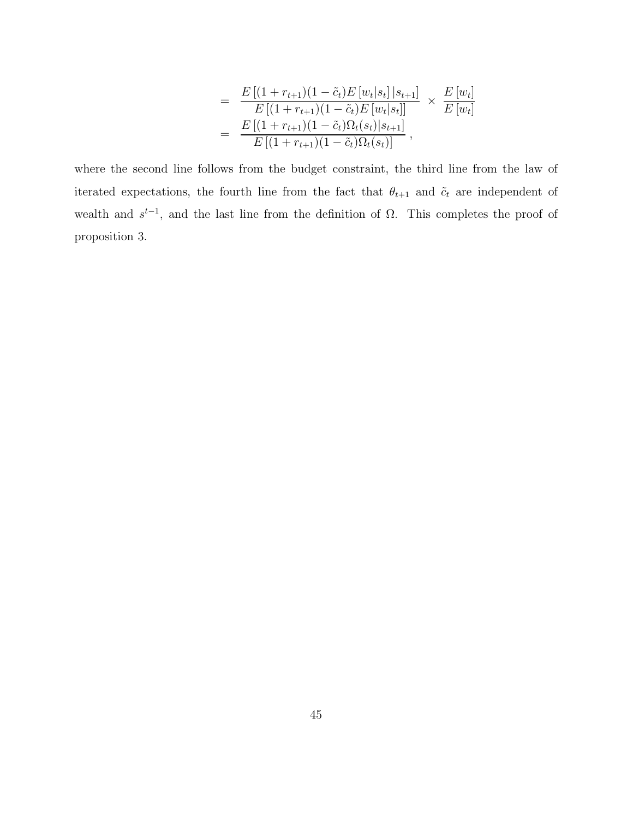$$
= \frac{E\left[(1+r_{t+1})(1-\tilde{c}_t)E\left[w_t|s_t\right]|s_{t+1}\right]}{E\left[(1+r_{t+1})(1-\tilde{c}_t)E\left[w_t|s_t\right]\right]} \times \frac{E\left[w_t\right]}{E\left[w_t\right]}
$$

$$
= \frac{E\left[(1+r_{t+1})(1-\tilde{c}_t)\Omega_t(s_t)|s_{t+1}\right]}{E\left[(1+r_{t+1})(1-\tilde{c}_t)\Omega_t(s_t)\right]},
$$

where the second line follows from the budget constraint, the third line from the law of iterated expectations, the fourth line from the fact that  $\theta_{t+1}$  and  $\tilde{c}_t$  are independent of wealth and  $s<sup>t-1</sup>$ , and the last line from the definition of Ω. This completes the proof of proposition 3.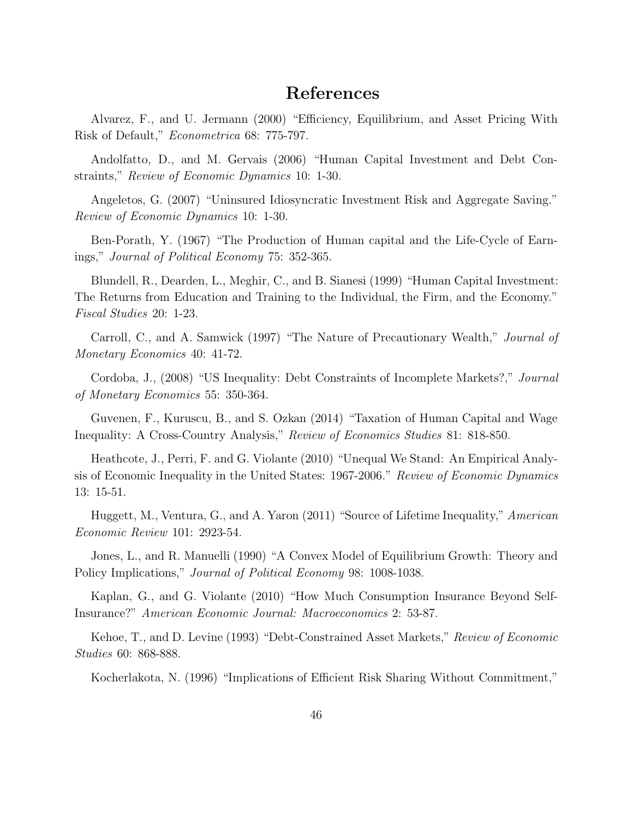# **References**

Alvarez, F., and U. Jermann (2000) "Efficiency, Equilibrium, and Asset Pricing With Risk of Default," *Econometrica* 68: 775-797.

Andolfatto, D., and M. Gervais (2006) "Human Capital Investment and Debt Constraints," *Review of Economic Dynamics* 10: 1-30.

Angeletos, G. (2007) "Uninsured Idiosyncratic Investment Risk and Aggregate Saving." *Review of Economic Dynamics* 10: 1-30.

Ben-Porath, Y. (1967) "The Production of Human capital and the Life-Cycle of Earnings," *Journal of Political Economy* 75: 352-365.

Blundell, R., Dearden, L., Meghir, C., and B. Sianesi (1999) "Human Capital Investment: The Returns from Education and Training to the Individual, the Firm, and the Economy." *Fiscal Studies* 20: 1-23.

Carroll, C., and A. Samwick (1997) "The Nature of Precautionary Wealth," *Journal of Monetary Economics* 40: 41-72.

Cordoba, J., (2008) "US Inequality: Debt Constraints of Incomplete Markets?," *Journal of Monetary Economics* 55: 350-364.

Guvenen, F., Kuruscu, B., and S. Ozkan (2014) "Taxation of Human Capital and Wage Inequality: A Cross-Country Analysis," *Review of Economics Studies* 81: 818-850.

Heathcote, J., Perri, F. and G. Violante (2010) "Unequal We Stand: An Empirical Analysis of Economic Inequality in the United States: 1967-2006." *Review of Economic Dynamics* 13: 15-51.

Huggett, M., Ventura, G., and A. Yaron (2011) "Source of Lifetime Inequality," *American Economic Review* 101: 2923-54.

Jones, L., and R. Manuelli (1990) "A Convex Model of Equilibrium Growth: Theory and Policy Implications," *Journal of Political Economy* 98: 1008-1038.

Kaplan, G., and G. Violante (2010) "How Much Consumption Insurance Beyond Self-Insurance?" *American Economic Journal: Macroeconomics* 2: 53-87.

Kehoe, T., and D. Levine (1993) "Debt-Constrained Asset Markets," *Review of Economic Studies* 60: 868-888.

Kocherlakota, N. (1996) "Implications of Efficient Risk Sharing Without Commitment,"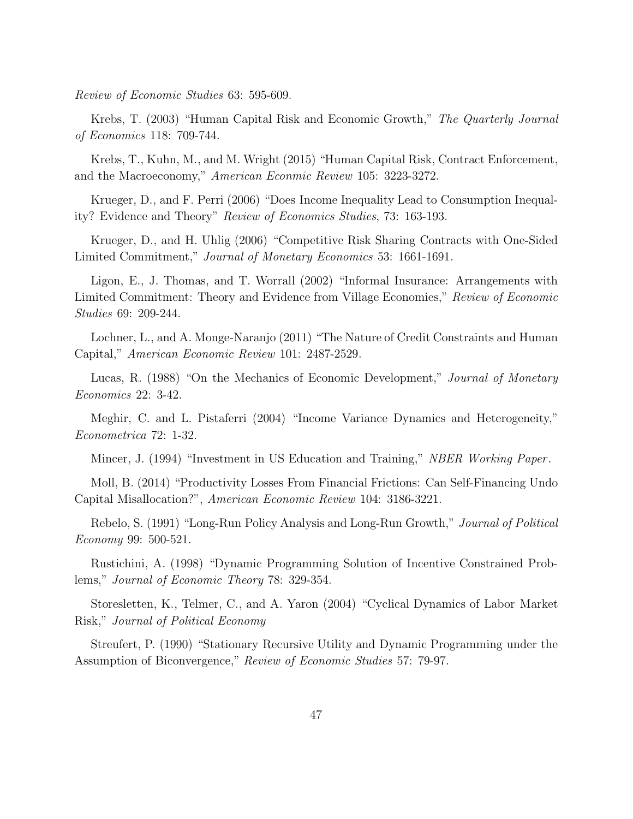*Review of Economic Studies* 63: 595-609.

Krebs, T. (2003) "Human Capital Risk and Economic Growth," *The Quarterly Journal of Economics* 118: 709-744.

Krebs, T., Kuhn, M., and M. Wright (2015) "Human Capital Risk, Contract Enforcement, and the Macroeconomy," *American Econmic Review* 105: 3223-3272.

Krueger, D., and F. Perri (2006) "Does Income Inequality Lead to Consumption Inequality? Evidence and Theory" *Review of Economics Studies*, 73: 163-193.

Krueger, D., and H. Uhlig (2006) "Competitive Risk Sharing Contracts with One-Sided Limited Commitment," *Journal of Monetary Economics* 53: 1661-1691.

Ligon, E., J. Thomas, and T. Worrall (2002) "Informal Insurance: Arrangements with Limited Commitment: Theory and Evidence from Village Economies," *Review of Economic Studies* 69: 209-244.

Lochner, L., and A. Monge-Naranjo (2011) "The Nature of Credit Constraints and Human Capital," *American Economic Review* 101: 2487-2529.

Lucas, R. (1988) "On the Mechanics of Economic Development," *Journal of Monetary Economics* 22: 3-42.

Meghir, C. and L. Pistaferri (2004) "Income Variance Dynamics and Heterogeneity," *Econometrica* 72: 1-32.

Mincer, J. (1994) "Investment in US Education and Training," *NBER Working Paper*.

Moll, B. (2014) "Productivity Losses From Financial Frictions: Can Self-Financing Undo Capital Misallocation?", *American Economic Review* 104: 3186-3221.

Rebelo, S. (1991) "Long-Run Policy Analysis and Long-Run Growth," *Journal of Political Economy* 99: 500-521.

Rustichini, A. (1998) "Dynamic Programming Solution of Incentive Constrained Problems," *Journal of Economic Theory* 78: 329-354.

Storesletten, K., Telmer, C., and A. Yaron (2004) "Cyclical Dynamics of Labor Market Risk," *Journal of Political Economy*

Streufert, P. (1990) "Stationary Recursive Utility and Dynamic Programming under the Assumption of Biconvergence," *Review of Economic Studies* 57: 79-97.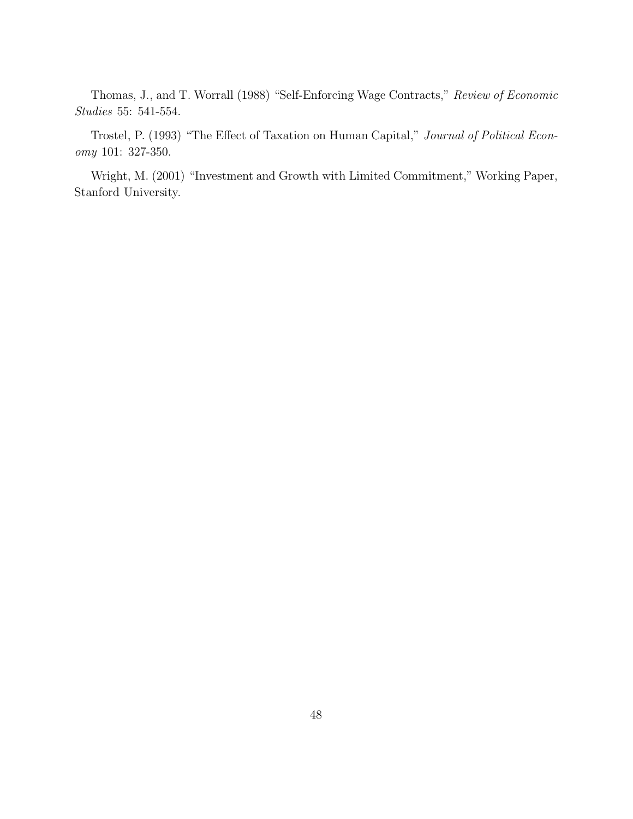Thomas, J., and T. Worrall (1988) "Self-Enforcing Wage Contracts," *Review of Economic Studies* 55: 541-554.

Trostel, P. (1993) "The Effect of Taxation on Human Capital," *Journal of Political Economy* 101: 327-350.

Wright, M. (2001) "Investment and Growth with Limited Commitment," Working Paper, Stanford University.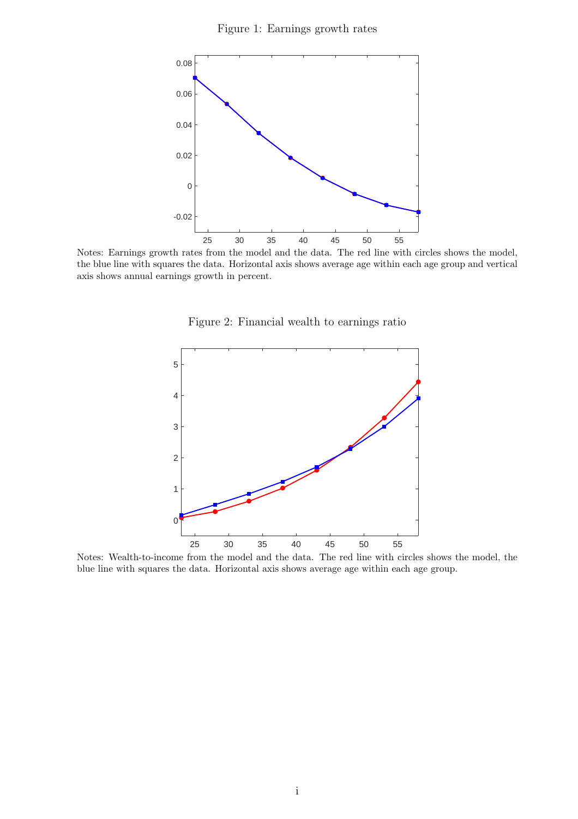Figure 1: Earnings growth rates



Notes: Earnings growth rates from the model and the data. The red line with circles shows the model, the blue line with squares the data. Horizontal axis shows average age within each age group and vertical axis shows annual earnings growth in percent.

Figure 2: Financial wealth to earnings ratio



Notes: Wealth-to-income from the model and the data. The red line with circles shows the model, the blue line with squares the data. Horizontal axis shows average age within each age group.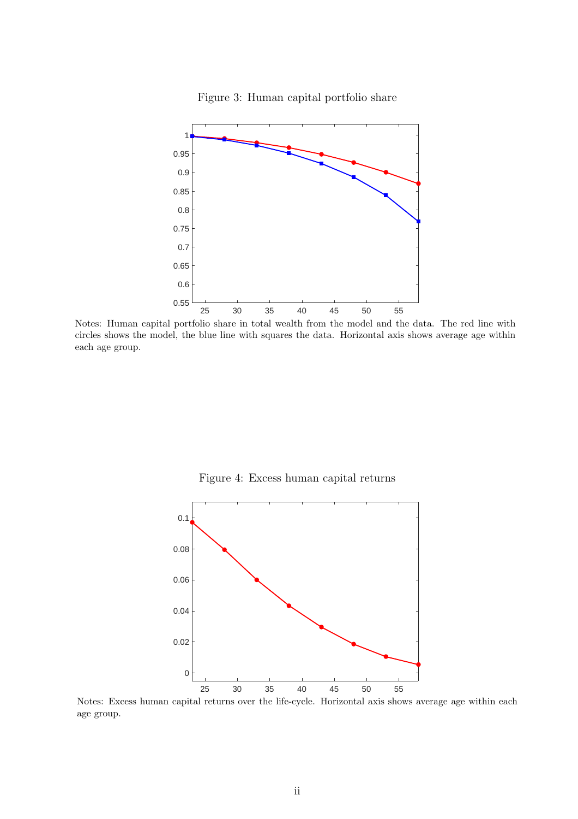

Figure 3: Human capital portfolio share

Notes: Human capital portfolio share in total wealth from the model and the data. The red line with circles shows the model, the blue line with squares the data. Horizontal axis shows average age within each age group.

Figure 4: Excess human capital returns



Notes: Excess human capital returns over the life-cycle. Horizontal axis shows average age within each age group.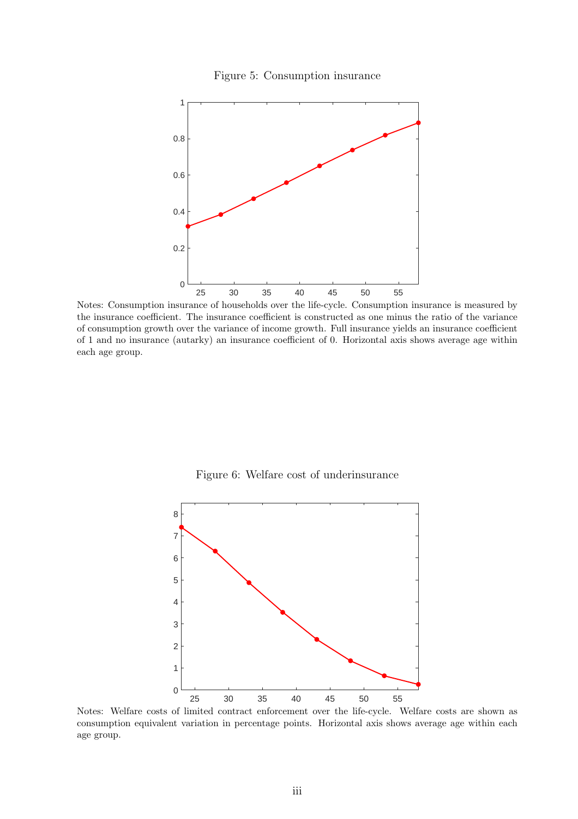



Notes: Consumption insurance of households over the life-cycle. Consumption insurance is measured by the insurance coefficient. The insurance coefficient is constructed as one minus the ratio of the variance of consumption growth over the variance of income growth. Full insurance yields an insurance coefficient of 1 and no insurance (autarky) an insurance coefficient of 0. Horizontal axis shows average age within each age group.

Figure 6: Welfare cost of underinsurance



Notes: Welfare costs of limited contract enforcement over the life-cycle. Welfare costs are shown as consumption equivalent variation in percentage points. Horizontal axis shows average age within each age group.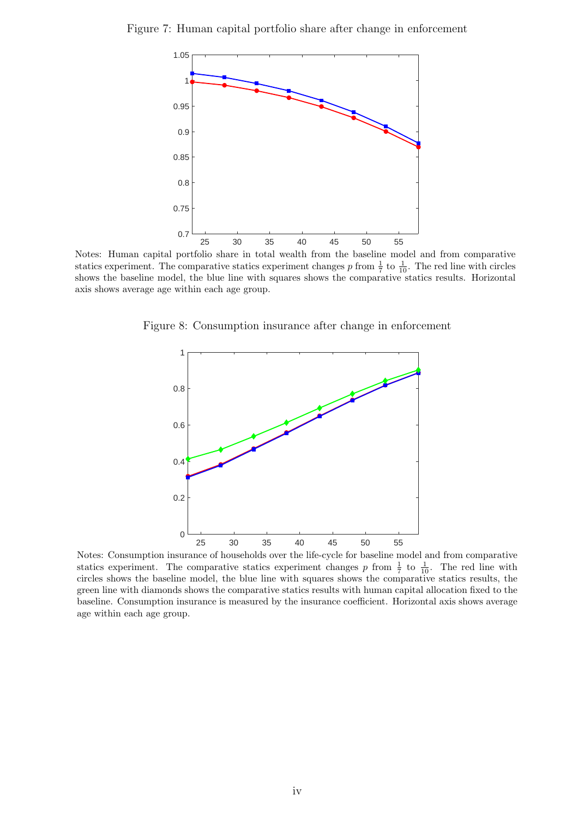



Notes: Human capital portfolio share in total wealth from the baseline model and from comparative statics experiment. The comparative statics experiment changes p from  $\frac{1}{7}$  to  $\frac{1}{10}$ . The red line with circles shows the baseline model, the blue line with squares shows the comparative statics results. Horizontal axis shows average age within each age group.

Figure 8: Consumption insurance after change in enforcement



Notes: Consumption insurance of households over the life-cycle for baseline model and from comparative statics experiment. The comparative statics experiment changes p from  $\frac{1}{7}$  to  $\frac{1}{10}$ . The red line with circles shows the baseline model, the blue line with squares shows the comparative statics results, the green line with diamonds shows the comparative statics results with human capital allocation fixed to the baseline. Consumption insurance is measured by the insurance coefficient. Horizontal axis shows average age within each age group.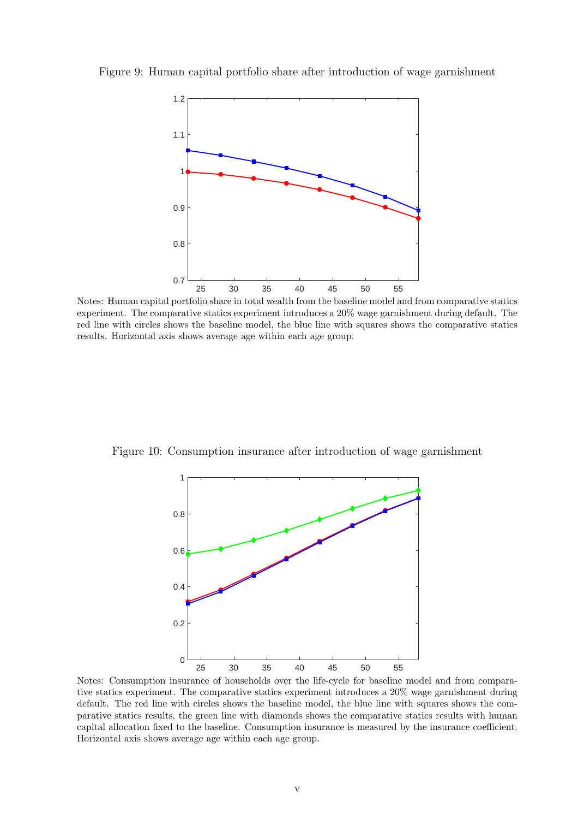

Figure 9: Human capital portfolio share after introduction of wage garnishment

Notes: Human capital portfolio share in total wealth from the baseline model and from comparative statics experiment. The comparative statics experiment introduces a 20% wage garnishment during default. The red line with circles shows the baseline model, the blue line with squares shows the comparative statics results. Horizontal axis shows average age within each age group.

Figure 10: Consumption insurance after introduction of wage garnishment



Notes: Consumption insurance of households over the life-cycle for baseline model and from comparative statics experiment. The comparative statics experiment introduces a 20% wage garnishment during default. The red line with circles shows the baseline model, the blue line with squares shows the comparative statics results, the green line with diamonds shows the comparative statics results with human capital allocation fixed to the baseline. Consumption insurance is measured by the insurance coefficient. Horizontal axis shows average age within each age group.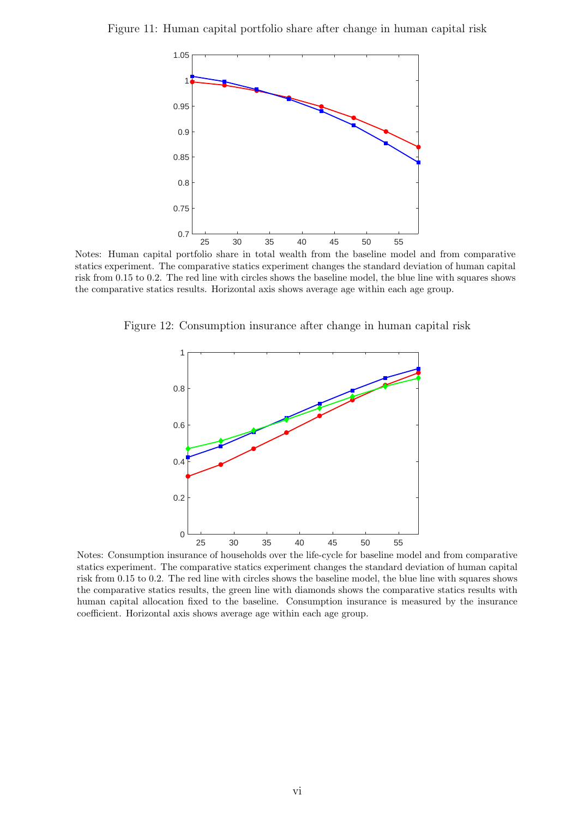Figure 11: Human capital portfolio share after change in human capital risk



Notes: Human capital portfolio share in total wealth from the baseline model and from comparative statics experiment. The comparative statics experiment changes the standard deviation of human capital risk from 0.15 to 0.2. The red line with circles shows the baseline model, the blue line with squares shows the comparative statics results. Horizontal axis shows average age within each age group.

Figure 12: Consumption insurance after change in human capital risk



Notes: Consumption insurance of households over the life-cycle for baseline model and from comparative statics experiment. The comparative statics experiment changes the standard deviation of human capital risk from 0.15 to 0.2. The red line with circles shows the baseline model, the blue line with squares shows the comparative statics results, the green line with diamonds shows the comparative statics results with human capital allocation fixed to the baseline. Consumption insurance is measured by the insurance coefficient. Horizontal axis shows average age within each age group.